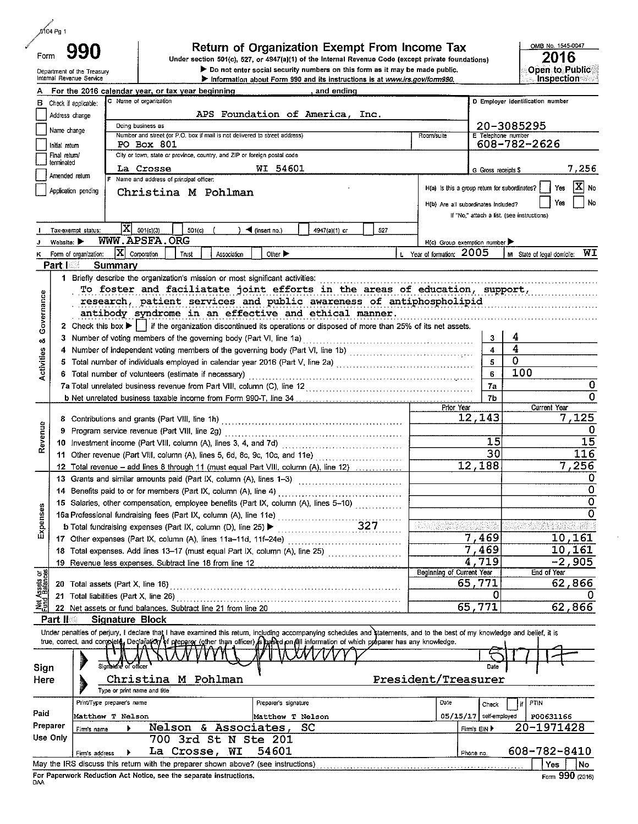| 5104 Pg 1 |     |
|-----------|-----|
| 'orm      | 990 |

Department of the Treasury

Internal Revenue Service

### Return of Organization Exempt From Income Tax

Under section 501(c), 527, or 4947(a)(1) of the Internal Revenue Code (except private foundations) > Do not enter social security numbers on this form as it may be made public.

Information about Form 990 and its instructions is at www.irs.gov/form990.

For the 2016 calendar year, or tax year beginning and ending C Name of organization D Employer identification number B Check if applicable: APS Foundation of America, Inc. Address change Doing business as 20-3085295 Name change Number and street (or P.O. box if mail is not delivered to street address) Room/suite one numbe 608-782-2626 PO Box 801 Initial return Final return/ City or town, state or province, country, and ZIP or foreign postal code terminated La Crosse WI 54601 7,256 G Gross receipts \$ Amended return Name and address of principal officer: H(a) is this a group return for subordinates? Yes IXI no Application pending Christina M Pohlman Yes No H(b) Are all subordinates included? If "No," attach a list. (see instructions)  $|\mathbf{X}|$  501(c)(3)  $501(c)$ (insert no.) 4947(a)(1) or 527 Tax-exempt status WWW.APSFA.ORG Website:  $\blacktriangleright$ H(c) Group exemption number  $|\mathbf{X}|$  Corporation Form of organization:  $\sqrt{\frac{1}{1}}$  Trust Other  $\blacktriangleright$ Year of formation: 2005 M State of legal domicile: WI L. Association **Part I** Summary 1 Briefly describe the organization's mission or most significant activities: . . . . . . . . . . . . . . To foster and faciliatate joint efforts in the areas of education, support, Governance research, patient services and public awareness of antiphospholipid antibody syndrome in an effective and ethical manner. 2 Check this box  $\blacktriangleright$  if the organization discontinued its operations or disposed of more than 25% of its net assets. Δ 3 œ  $\overline{\bf 4}$  $\ddot{\bf 4}$ Activities 0 5 6 Total number of volunteers (estimate if necessary) ...................... 100  $\bf 6$  $\overline{0}$  $7a$ 0 b Net unrelated business taxable income from Form 990-T, line 34, 7h Prior Year **Current Year** 12 143 125 Revenue 0  $\overline{15}$  $\overline{15}$ 30 116 11 Other revenue (Part VIII, column (A), lines 5, 6d, 8c, 9c, 10c, and 11e) .................................  $7.256$ 12,188 12 Total revenue - add lines 8 through 11 (must equal Part VIII, column (A), line 12) 0  $\overline{0}$ 15 Salaries, other compensation, employee benefits (Part IX, column (A), lines 5-10)  $\overline{0}$ Expenses 16 Second Conduction Conduction (A), line 11e)<br>
16 Total fundraising expenses (Part IX, column (D), line 25)<br>
16 Total fundraising expenses (Part IX, column (D), line 25)  $\Omega$ 7,469  $10,161$ 7,469 18 Total expenses. Add lines 13-17 (must equal Part IX, column (A), line 25) ....................... 10,161  $4,719$  $\overline{-2}$  ,  $905$ 19 Revenue less expenses. Subtract line 18 from line 12 **Beginning of Current Year** End of Year ভ ই 65,771 62 866 0 Ω 英트 65,771 62,866 22 Net assets or fund balances. Subtract line 21 from line 20 **Signature Block** Part II Under penalties of perjury, I declare that I have examined this return, including accompanying schedules and statements, and to the best of my knowledge and belief, it is true, correct, and complete, Declarator of preparer (other than officer) supported on all information of which preparer has any knowledge. Sign Date Christina M Pohlman President/Treasurer Here Type or print name and title Preparer's signature Date PTIN Print/Type preparer's name Check Paid 05/15/17 self-employed Matthew T Nelson Matthew T Nelson **P00631166** Preparer 20-1971428 Nelson & Associates, SC Firm's EIN Firm's name Use Only 700 3rd St N Ste 201 608-782-8410 La Crosse, WI 54601 Phone no. Firm's address May the IRS discuss this return with the preparer shown above? (see instructions) Yes | No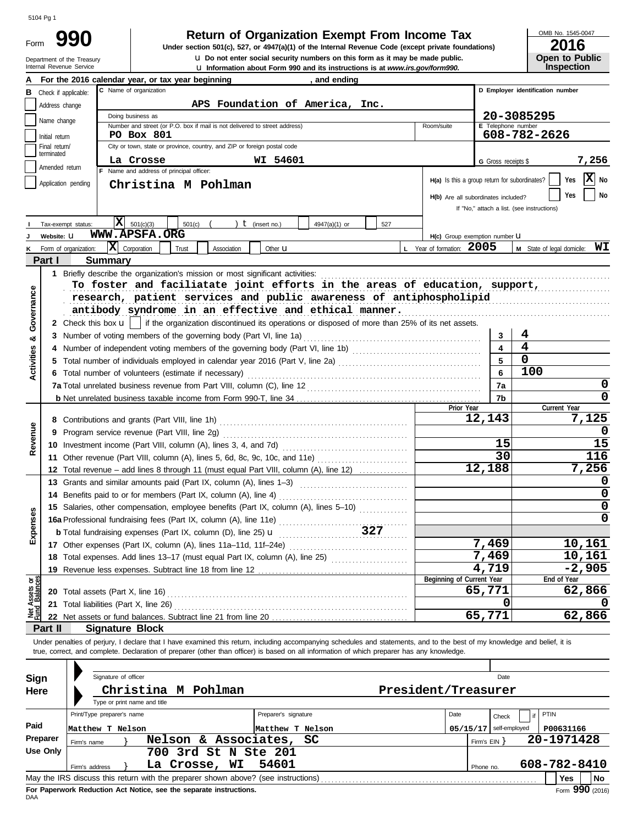| Form | 9                                                      |
|------|--------------------------------------------------------|
|      | Department of the Treasury<br>Internal Revenue Service |

# **Return of Organization Exempt From Income Tax**  $\frac{\text{OMB No. 1545-00}}{2016}$

u **Information about Form 990 and its instructions is at** *www.irs.gov/form990.* Internal Revenue Service **u** Do not enter social security numbers on this form as it may be made public. **Under section 501(c), 527, or 4947(a)(1) of the Internal Revenue Code (except private foundations)** OMB No. 1545-0047

|                       | LV I V |  |
|-----------------------|--------|--|
| <b>Open to Public</b> |        |  |
| <b>Inspection</b>     |        |  |

|                                |                      |                       | <b>Let information about Form 330 and its instructions is at <i>WWW.ITS.QUWTOHTT770</i></b>                                                                                                                                                                                                                              |                                               |                            |                                            |
|--------------------------------|----------------------|-----------------------|--------------------------------------------------------------------------------------------------------------------------------------------------------------------------------------------------------------------------------------------------------------------------------------------------------------------------|-----------------------------------------------|----------------------------|--------------------------------------------|
|                                |                      |                       | For the 2016 calendar year, or tax year beginning<br>, and ending                                                                                                                                                                                                                                                        |                                               |                            |                                            |
| в                              | Check if applicable: |                       | C Name of organization                                                                                                                                                                                                                                                                                                   | D Employer identification number              |                            |                                            |
|                                | Address change       |                       | APS Foundation of America, Inc.                                                                                                                                                                                                                                                                                          |                                               |                            |                                            |
|                                |                      |                       | Doing business as                                                                                                                                                                                                                                                                                                        |                                               | 20-3085295                 |                                            |
|                                | Name change          |                       | Number and street (or P.O. box if mail is not delivered to street address)                                                                                                                                                                                                                                               | Room/suite                                    | E Telephone number         |                                            |
|                                | Initial return       |                       | PO Box 801                                                                                                                                                                                                                                                                                                               |                                               |                            | 608-782-2626                               |
|                                | Final return/        |                       | City or town, state or province, country, and ZIP or foreign postal code                                                                                                                                                                                                                                                 |                                               |                            |                                            |
|                                | terminated           |                       | WI 54601<br>La Crosse                                                                                                                                                                                                                                                                                                    |                                               | G Gross receipts \$        | 7,256                                      |
|                                | Amended return       |                       | F Name and address of principal officer:                                                                                                                                                                                                                                                                                 |                                               |                            |                                            |
|                                | Application pending  |                       | Christina M Pohlman                                                                                                                                                                                                                                                                                                      | H(a) Is this a group return for subordinates? |                            | X<br>Yes<br>No                             |
|                                |                      |                       |                                                                                                                                                                                                                                                                                                                          | H(b) Are all subordinates included?           |                            | No<br>Yes                                  |
|                                |                      |                       |                                                                                                                                                                                                                                                                                                                          |                                               |                            | If "No," attach a list. (see instructions) |
|                                |                      |                       |                                                                                                                                                                                                                                                                                                                          |                                               |                            |                                            |
|                                | Tax-exempt status:   |                       | X <br>501(c)(3)<br>) $t$ (insert no.)<br>501(c)<br>4947(a)(1) or<br>527                                                                                                                                                                                                                                                  |                                               |                            |                                            |
|                                | Website: U           |                       | <b>WWW.APSFA.ORG</b>                                                                                                                                                                                                                                                                                                     | H(c) Group exemption number LI                |                            |                                            |
| ĸ                              |                      | Form of organization: | $ \mathbf{X} $ Corporation<br>Trust<br>Association<br>Other <b>u</b>                                                                                                                                                                                                                                                     | L Year of formation: 2005                     |                            | WI<br>M State of legal domicile:           |
|                                | Part I               |                       | <b>Summary</b>                                                                                                                                                                                                                                                                                                           |                                               |                            |                                            |
|                                |                      |                       | 1 Briefly describe the organization's mission or most significant activities:                                                                                                                                                                                                                                            |                                               |                            |                                            |
|                                |                      |                       | To foster and faciliatate joint efforts in the areas of education, support,                                                                                                                                                                                                                                              |                                               |                            |                                            |
|                                |                      |                       |                                                                                                                                                                                                                                                                                                                          |                                               |                            |                                            |
|                                |                      |                       | research, patient services and public awareness of antiphospholipid                                                                                                                                                                                                                                                      |                                               |                            |                                            |
| Governance                     |                      |                       | antibody syndrome in an effective and ethical manner.                                                                                                                                                                                                                                                                    |                                               |                            |                                            |
|                                |                      |                       | 2 Check this box $\mathbf{u}$   if the organization discontinued its operations or disposed of more than 25% of its net assets.                                                                                                                                                                                          |                                               |                            |                                            |
| ಯ                              | 3                    |                       | Number of voting members of the governing body (Part VI, line 1a)                                                                                                                                                                                                                                                        |                                               | 3                          | 4                                          |
|                                | 4                    |                       |                                                                                                                                                                                                                                                                                                                          |                                               | 4                          | 4                                          |
|                                | 5                    |                       | Total number of individuals employed in calendar year 2016 (Part V, line 2a) [[[[[[[[[[[[[[[[[[[[[[[[[[[[[[[[                                                                                                                                                                                                            |                                               | 5                          | $\Omega$                                   |
| <b>Activities</b>              | 6                    |                       | Total number of volunteers (estimate if necessary)                                                                                                                                                                                                                                                                       |                                               | 6                          | 100                                        |
|                                |                      |                       |                                                                                                                                                                                                                                                                                                                          |                                               |                            | 0                                          |
|                                |                      |                       |                                                                                                                                                                                                                                                                                                                          |                                               | 7a                         |                                            |
|                                |                      |                       |                                                                                                                                                                                                                                                                                                                          |                                               | 7b                         | 0                                          |
|                                |                      |                       |                                                                                                                                                                                                                                                                                                                          | Prior Year                                    |                            | Current Year                               |
|                                | 8                    |                       |                                                                                                                                                                                                                                                                                                                          |                                               | 12,143                     | 7,125                                      |
|                                | 9                    |                       |                                                                                                                                                                                                                                                                                                                          |                                               |                            | 0                                          |
| Revenue                        | 10                   |                       |                                                                                                                                                                                                                                                                                                                          |                                               | 15                         | 15                                         |
|                                | 11                   |                       | Other revenue (Part VIII, column (A), lines 5, 6d, 8c, 9c, 10c, and 11e)                                                                                                                                                                                                                                                 |                                               | 30                         | 116                                        |
|                                | 12                   |                       | Total revenue – add lines 8 through 11 (must equal Part VIII, column (A), line 12)                                                                                                                                                                                                                                       |                                               | 12,188                     | 7,256                                      |
|                                |                      |                       | 13 Grants and similar amounts paid (Part IX, column (A), lines 1-3)                                                                                                                                                                                                                                                      |                                               |                            | 0                                          |
|                                |                      |                       |                                                                                                                                                                                                                                                                                                                          |                                               |                            | 0                                          |
|                                |                      |                       | 15 Salaries, other compensation, employee benefits (Part IX, column (A), lines 5-10)                                                                                                                                                                                                                                     |                                               |                            | $\mathbf 0$                                |
|                                |                      |                       |                                                                                                                                                                                                                                                                                                                          |                                               |                            | 0                                          |
| penses                         |                      |                       |                                                                                                                                                                                                                                                                                                                          |                                               |                            |                                            |
|                                |                      |                       | 327<br><b>b</b> Total fundraising expenses (Part IX, column (D), line 25) $\mathbf{u}$                                                                                                                                                                                                                                   |                                               |                            |                                            |
| ⋒                              |                      |                       |                                                                                                                                                                                                                                                                                                                          |                                               | 7,469                      | 10,161                                     |
|                                |                      |                       | 18 Total expenses. Add lines 13-17 (must equal Part IX, column (A), line 25) [[[[[[[[[[[[[[[[[[[[[[[[[[[[[[[[                                                                                                                                                                                                            |                                               | 7,469                      | 10,161                                     |
|                                |                      |                       | 19 Revenue less expenses. Subtract line 18 from line 12                                                                                                                                                                                                                                                                  |                                               | 4,719                      | $-2,905$                                   |
|                                |                      |                       |                                                                                                                                                                                                                                                                                                                          | Beginning of Current Year                     |                            | End of Year                                |
| Net Assets or<br>Fund Balances |                      |                       |                                                                                                                                                                                                                                                                                                                          |                                               | 65,771                     | 62,866                                     |
|                                | 21                   |                       | Total liabilities (Part X, line 26)                                                                                                                                                                                                                                                                                      |                                               | 0                          |                                            |
|                                |                      |                       |                                                                                                                                                                                                                                                                                                                          |                                               | 65,771                     | 62,866                                     |
|                                | Part II              |                       | <b>Signature Block</b>                                                                                                                                                                                                                                                                                                   |                                               |                            |                                            |
|                                |                      |                       |                                                                                                                                                                                                                                                                                                                          |                                               |                            |                                            |
|                                |                      |                       | Under penalties of perjury, I declare that I have examined this return, including accompanying schedules and statements, and to the best of my knowledge and belief, it is<br>true, correct, and complete. Declaration of preparer (other than officer) is based on all information of which preparer has any knowledge. |                                               |                            |                                            |
|                                |                      |                       |                                                                                                                                                                                                                                                                                                                          |                                               |                            |                                            |
|                                |                      |                       |                                                                                                                                                                                                                                                                                                                          |                                               |                            |                                            |
| Sign                           |                      |                       | Signature of officer                                                                                                                                                                                                                                                                                                     |                                               | Date                       |                                            |
| Here                           |                      |                       | Christina M Pohlman                                                                                                                                                                                                                                                                                                      | President/Treasurer                           |                            |                                            |
|                                |                      |                       | Type or print name and title                                                                                                                                                                                                                                                                                             |                                               |                            |                                            |
|                                |                      |                       | Print/Type preparer's name<br>Preparer's signature                                                                                                                                                                                                                                                                       | Date                                          | Check                      | PTIN                                       |
| Paid                           |                      |                       |                                                                                                                                                                                                                                                                                                                          |                                               |                            |                                            |
|                                | Preparer             |                       | Matthew T Nelson<br>Matthew T Nelson                                                                                                                                                                                                                                                                                     |                                               | $05/15/17$   self-employed | P00631166                                  |
|                                |                      | Firm's name           | Nelson & Associates,<br>SC                                                                                                                                                                                                                                                                                               |                                               | Firm's $EIN$ }             | 20-1971428                                 |
|                                | Use Only             |                       | 700 3rd St N Ste 201                                                                                                                                                                                                                                                                                                     |                                               |                            |                                            |
|                                |                      | Firm's address        | 54601<br>La Crosse, WI                                                                                                                                                                                                                                                                                                   |                                               | Phone no.                  | 608-782-8410                               |
|                                |                      |                       |                                                                                                                                                                                                                                                                                                                          |                                               |                            | Yes<br>No                                  |

| Sign<br><b>Here</b> | Signature of officer<br>Christina M<br>Pohlman<br>Type or print name and title                 | President/Treasurer  |          | Date              |              |  |  |  |
|---------------------|------------------------------------------------------------------------------------------------|----------------------|----------|-------------------|--------------|--|--|--|
|                     | Print/Type preparer's name                                                                     | Preparer's signature | Date     | Check             | <b>PTIN</b>  |  |  |  |
| Paid                | Matthew T Nelson                                                                               | Matthew T Nelson     | 05/15/17 | self-employed     | P00631166    |  |  |  |
| Preparer            | Nelson & Associates, SC<br>Firm's name                                                         |                      |          | Firm's $EIN$ $\}$ | 20-1971428   |  |  |  |
| Use Only            | 700 3rd St N Ste 201                                                                           |                      |          |                   |              |  |  |  |
|                     | La Crosse, WI<br>Firm's address                                                                | 54601                |          | Phone no.         | 608-782-8410 |  |  |  |
|                     | No<br>May the IRS discuss this return with the preparer shown above? (see instructions)<br>Yes |                      |          |                   |              |  |  |  |
| <b>DAA</b>          | Form 990 (2016)<br>For Paperwork Reduction Act Notice, see the separate instructions.          |                      |          |                   |              |  |  |  |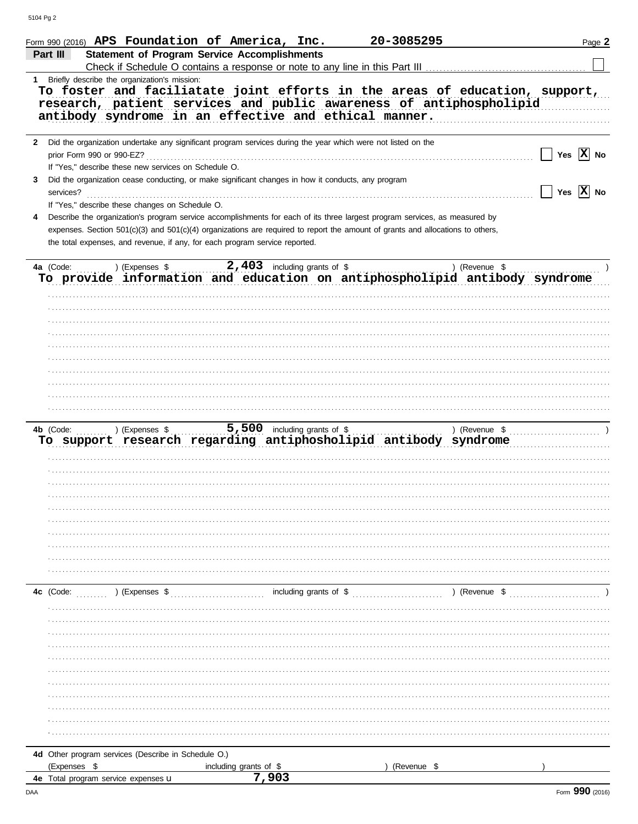|           |                           |                                                      | Form 990 (2016) APS Foundation of America, Inc.                                                                                                                                                                                                              | 20-3085295  | Page 2                                                                      |
|-----------|---------------------------|------------------------------------------------------|--------------------------------------------------------------------------------------------------------------------------------------------------------------------------------------------------------------------------------------------------------------|-------------|-----------------------------------------------------------------------------|
| Part III  |                           |                                                      | <b>Statement of Program Service Accomplishments</b>                                                                                                                                                                                                          |             |                                                                             |
|           |                           |                                                      |                                                                                                                                                                                                                                                              |             |                                                                             |
|           |                           | 1 Briefly describe the organization's mission:       | research, patient services and public awareness of antiphospholipid                                                                                                                                                                                          |             | To foster and faciliatate joint efforts in the areas of education, support, |
|           |                           |                                                      | antibody syndrome in an effective and ethical manner.                                                                                                                                                                                                        |             |                                                                             |
|           | prior Form 990 or 990-EZ? | If "Yes," describe these new services on Schedule O. | 2 Did the organization undertake any significant program services during the year which were not listed on the                                                                                                                                               |             | Yes $ X $ No                                                                |
| 3         | services?                 |                                                      | Did the organization cease conducting, or make significant changes in how it conducts, any program                                                                                                                                                           |             | Yes $ \mathbf{X} $ No                                                       |
| 4         |                           | If "Yes," describe these changes on Schedule O.      | Describe the organization's program service accomplishments for each of its three largest program services, as measured by<br>expenses. Section 501(c)(3) and 501(c)(4) organizations are required to report the amount of grants and allocations to others, |             |                                                                             |
|           |                           |                                                      | the total expenses, and revenue, if any, for each program service reported.                                                                                                                                                                                  |             |                                                                             |
| 4a (Code: |                           | $($ (Expenses \$                                     | $2,403$ including grants of \$<br>To provide information and education on antiphospholipid antibody syndrome                                                                                                                                                 |             | ) (Revenue \$                                                               |
|           |                           |                                                      |                                                                                                                                                                                                                                                              |             |                                                                             |
|           |                           |                                                      |                                                                                                                                                                                                                                                              |             |                                                                             |
|           |                           |                                                      |                                                                                                                                                                                                                                                              |             |                                                                             |
|           |                           |                                                      |                                                                                                                                                                                                                                                              |             |                                                                             |
|           |                           |                                                      |                                                                                                                                                                                                                                                              |             |                                                                             |
|           | 4b (Code:                 | ) (Expenses \$                                       | $5,500$ including grants of \$<br>To support research regarding antiphosholipid antibody syndrome                                                                                                                                                            |             | ) (Revenue $\quad$ , $\ldots$ , $\ldots$ , $\ldots$ )                       |
|           |                           |                                                      |                                                                                                                                                                                                                                                              |             |                                                                             |
|           |                           |                                                      |                                                                                                                                                                                                                                                              |             |                                                                             |
|           |                           |                                                      |                                                                                                                                                                                                                                                              |             |                                                                             |
|           |                           |                                                      |                                                                                                                                                                                                                                                              |             |                                                                             |
|           |                           |                                                      |                                                                                                                                                                                                                                                              |             |                                                                             |
|           |                           |                                                      |                                                                                                                                                                                                                                                              |             |                                                                             |
|           |                           |                                                      |                                                                                                                                                                                                                                                              |             |                                                                             |
|           |                           |                                                      |                                                                                                                                                                                                                                                              |             |                                                                             |
|           |                           |                                                      |                                                                                                                                                                                                                                                              |             |                                                                             |
| 4c (Code: |                           | ) (Expenses \$                                       | including grants of \$                                                                                                                                                                                                                                       |             | $\sim$ ) (Revenue \$                                                        |
|           |                           |                                                      |                                                                                                                                                                                                                                                              |             |                                                                             |
|           |                           |                                                      |                                                                                                                                                                                                                                                              |             |                                                                             |
|           |                           |                                                      |                                                                                                                                                                                                                                                              |             |                                                                             |
|           |                           |                                                      |                                                                                                                                                                                                                                                              |             |                                                                             |
|           |                           |                                                      |                                                                                                                                                                                                                                                              |             |                                                                             |
|           |                           |                                                      |                                                                                                                                                                                                                                                              |             |                                                                             |
|           |                           |                                                      |                                                                                                                                                                                                                                                              |             |                                                                             |
|           |                           |                                                      |                                                                                                                                                                                                                                                              |             |                                                                             |
|           |                           |                                                      |                                                                                                                                                                                                                                                              |             |                                                                             |
|           |                           |                                                      |                                                                                                                                                                                                                                                              |             |                                                                             |
|           |                           |                                                      |                                                                                                                                                                                                                                                              |             |                                                                             |
|           |                           | 4d Other program services (Describe in Schedule O.)  |                                                                                                                                                                                                                                                              |             |                                                                             |
|           | (Expenses \$              |                                                      | including grants of \$                                                                                                                                                                                                                                       | (Revenue \$ |                                                                             |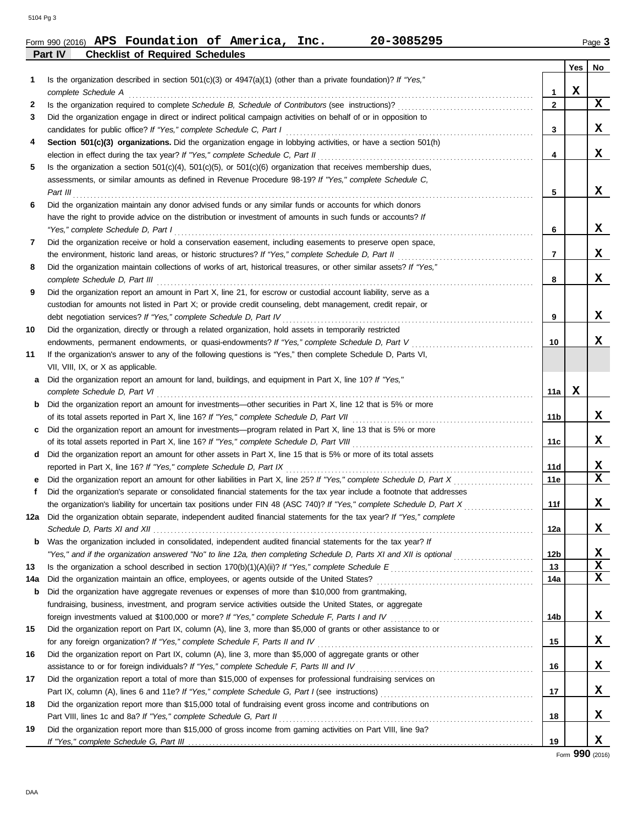|         | Form 990 (2016) APS Foundation of America, |  | Inc. | 20-3085295 | Page 3 |
|---------|--------------------------------------------|--|------|------------|--------|
| Part IV | <b>Checklist of Required Schedules</b>     |  |      |            |        |

|              |                                                                                                                                                                                                        |                 | Yes | No. |
|--------------|--------------------------------------------------------------------------------------------------------------------------------------------------------------------------------------------------------|-----------------|-----|-----|
| 1            | Is the organization described in section 501(c)(3) or 4947(a)(1) (other than a private foundation)? If "Yes,"                                                                                          |                 |     |     |
|              | complete Schedule A                                                                                                                                                                                    | 1               | x   |     |
| 2            |                                                                                                                                                                                                        | $\mathbf{2}$    |     | X   |
| 3            | Did the organization engage in direct or indirect political campaign activities on behalf of or in opposition to                                                                                       |                 |     | X   |
|              | candidates for public office? If "Yes," complete Schedule C, Part I                                                                                                                                    | 3               |     |     |
| 4            | Section 501(c)(3) organizations. Did the organization engage in lobbying activities, or have a section 501(h)                                                                                          | 4               |     | X   |
| 5            | election in effect during the tax year? If "Yes," complete Schedule C, Part II<br>Is the organization a section $501(c)(4)$ , $501(c)(5)$ , or $501(c)(6)$ organization that receives membership dues, |                 |     |     |
|              | assessments, or similar amounts as defined in Revenue Procedure 98-19? If "Yes," complete Schedule C,                                                                                                  |                 |     |     |
|              | Part III                                                                                                                                                                                               | 5               |     | X   |
| 6            | Did the organization maintain any donor advised funds or any similar funds or accounts for which donors                                                                                                |                 |     |     |
|              | have the right to provide advice on the distribution or investment of amounts in such funds or accounts? If                                                                                            |                 |     |     |
|              | "Yes," complete Schedule D, Part I                                                                                                                                                                     | 6               |     | x   |
| 7            | Did the organization receive or hold a conservation easement, including easements to preserve open space,                                                                                              |                 |     |     |
|              |                                                                                                                                                                                                        | $\overline{7}$  |     | X.  |
| 8            | Did the organization maintain collections of works of art, historical treasures, or other similar assets? If "Yes,"                                                                                    |                 |     |     |
|              | complete Schedule D, Part III                                                                                                                                                                          | 8               |     | X   |
| 9            | Did the organization report an amount in Part X, line 21, for escrow or custodial account liability, serve as a                                                                                        |                 |     |     |
|              | custodian for amounts not listed in Part X; or provide credit counseling, debt management, credit repair, or                                                                                           |                 |     |     |
|              | debt negotiation services? If "Yes," complete Schedule D, Part IV                                                                                                                                      | 9               |     | x   |
| 10           | Did the organization, directly or through a related organization, hold assets in temporarily restricted                                                                                                |                 |     |     |
|              | endowments, permanent endowments, or quasi-endowments? If "Yes," complete Schedule D, Part V                                                                                                           | 10              |     | x   |
| 11           | If the organization's answer to any of the following questions is "Yes," then complete Schedule D, Parts VI,                                                                                           |                 |     |     |
|              | VII, VIII, IX, or X as applicable.                                                                                                                                                                     |                 |     |     |
| a            | Did the organization report an amount for land, buildings, and equipment in Part X, line 10? If "Yes,"                                                                                                 |                 |     |     |
|              | complete Schedule D, Part VI                                                                                                                                                                           | 11a             | x   |     |
| $\mathbf{b}$ | Did the organization report an amount for investments—other securities in Part X, line 12 that is 5% or more                                                                                           |                 |     |     |
|              |                                                                                                                                                                                                        | 11b             |     | X   |
| c            | Did the organization report an amount for investments—program related in Part X, line 13 that is 5% or more                                                                                            |                 |     |     |
|              | of its total assets reported in Part X, line 16? If "Yes," complete Schedule D, Part VIII                                                                                                              | 11c             |     | x   |
| d            | Did the organization report an amount for other assets in Part X, line 15 that is 5% or more of its total assets                                                                                       |                 |     |     |
|              | reported in Part X, line 16? If "Yes," complete Schedule D, Part IX                                                                                                                                    | 11d             |     | x   |
| е            |                                                                                                                                                                                                        | 11e             |     | X   |
| f.           | Did the organization's separate or consolidated financial statements for the tax year include a footnote that addresses                                                                                |                 |     |     |
|              |                                                                                                                                                                                                        | 11f             |     | x   |
| 12a          | Did the organization obtain separate, independent audited financial statements for the tax year? If "Yes," complete                                                                                    |                 |     |     |
|              | Schedule D. Parts XI and XII                                                                                                                                                                           | 12a             |     | x   |
| b            | Was the organization included in consolidated, independent audited financial statements for the tax year? If                                                                                           |                 |     |     |
|              | "Yes," and if the organization answered "No" to line 12a, then completing Schedule D, Parts XI and XII is optional                                                                                     | 12 <sub>b</sub> |     | x   |
| 13           |                                                                                                                                                                                                        | 13              |     | X   |
| 14a          |                                                                                                                                                                                                        | 14a             |     | X   |
| b            | Did the organization have aggregate revenues or expenses of more than \$10,000 from grantmaking,                                                                                                       |                 |     |     |
|              | fundraising, business, investment, and program service activities outside the United States, or aggregate                                                                                              |                 |     |     |
|              |                                                                                                                                                                                                        | 14b             |     | X.  |
| 15           | Did the organization report on Part IX, column (A), line 3, more than \$5,000 of grants or other assistance to or                                                                                      |                 |     |     |
|              | for any foreign organization? If "Yes," complete Schedule F, Parts II and IV [[[[[[[[[[[[[[[[[[[[[[[[[[[[[[[[[                                                                                         | 15              |     | X.  |
| 16           | Did the organization report on Part IX, column (A), line 3, more than \$5,000 of aggregate grants or other                                                                                             |                 |     |     |
|              | assistance to or for foreign individuals? If "Yes," complete Schedule F, Parts III and IV [[[[[[[[[[[[[[[[[[[                                                                                          | 16              |     | X.  |
| 17           | Did the organization report a total of more than \$15,000 of expenses for professional fundraising services on                                                                                         |                 |     |     |
|              |                                                                                                                                                                                                        | 17              |     | X.  |
| 18           | Did the organization report more than \$15,000 total of fundraising event gross income and contributions on                                                                                            |                 |     |     |
|              |                                                                                                                                                                                                        | 18              |     | X.  |
| 19           | Did the organization report more than \$15,000 of gross income from gaming activities on Part VIII, line 9a?                                                                                           |                 |     | X.  |
|              |                                                                                                                                                                                                        | 19              |     |     |

Form **990** (2016)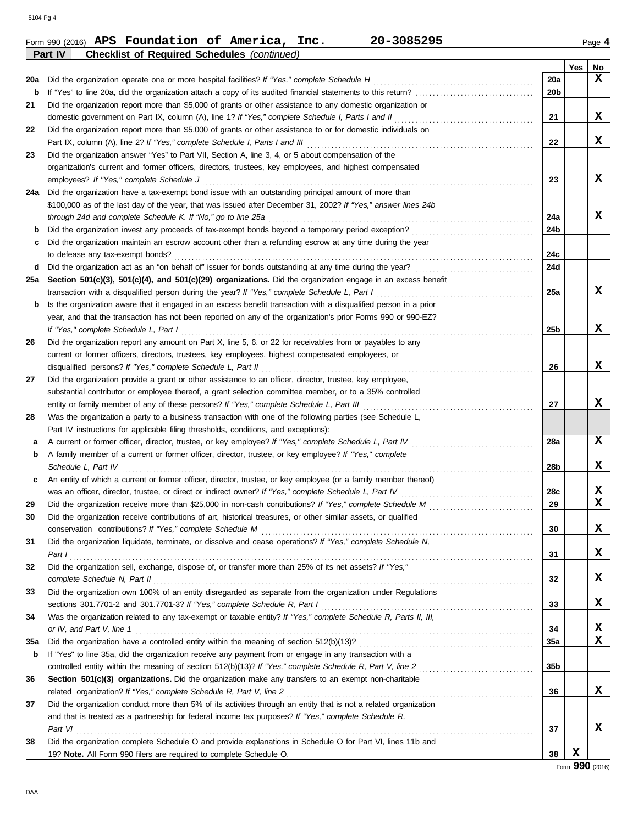|     | 20-3085295<br>Form 990 (2016) APS Foundation of America, Inc.                                                                                                                                                     |                 |     | Page 4                  |
|-----|-------------------------------------------------------------------------------------------------------------------------------------------------------------------------------------------------------------------|-----------------|-----|-------------------------|
|     | Part IV<br><b>Checklist of Required Schedules (continued)</b>                                                                                                                                                     |                 |     |                         |
|     |                                                                                                                                                                                                                   |                 | Yes | No                      |
| 20a | Did the organization operate one or more hospital facilities? If "Yes," complete Schedule H                                                                                                                       | 20a             |     | $\mathbf x$             |
| b   |                                                                                                                                                                                                                   | 20 <sub>b</sub> |     |                         |
| 21  | Did the organization report more than \$5,000 of grants or other assistance to any domestic organization or                                                                                                       |                 |     |                         |
|     | domestic government on Part IX, column (A), line 1? If "Yes," complete Schedule I, Parts I and II                                                                                                                 | 21              |     | X                       |
| 22  | Did the organization report more than \$5,000 of grants or other assistance to or for domestic individuals on                                                                                                     |                 |     |                         |
|     | Part IX, column (A), line 2? If "Yes," complete Schedule I, Parts I and III                                                                                                                                       | 22              |     | X                       |
| 23  | Did the organization answer "Yes" to Part VII, Section A, line 3, 4, or 5 about compensation of the                                                                                                               |                 |     |                         |
|     | organization's current and former officers, directors, trustees, key employees, and highest compensated                                                                                                           |                 |     |                         |
|     | employees? If "Yes," complete Schedule J                                                                                                                                                                          | 23              |     | X                       |
|     | 24a Did the organization have a tax-exempt bond issue with an outstanding principal amount of more than                                                                                                           |                 |     |                         |
|     | \$100,000 as of the last day of the year, that was issued after December 31, 2002? If "Yes," answer lines 24b                                                                                                     |                 |     |                         |
|     | through 24d and complete Schedule K. If "No," go to line 25a                                                                                                                                                      | 24a             |     | X                       |
| b   | Did the organization invest any proceeds of tax-exempt bonds beyond a temporary period exception?                                                                                                                 | 24b             |     |                         |
| c   | Did the organization maintain an escrow account other than a refunding escrow at any time during the year                                                                                                         |                 |     |                         |
|     | to defease any tax-exempt bonds?                                                                                                                                                                                  | 24c             |     |                         |
| d   | Did the organization act as an "on behalf of" issuer for bonds outstanding at any time during the year?                                                                                                           | 24d             |     |                         |
| 25а | Section 501(c)(3), 501(c)(4), and 501(c)(29) organizations. Did the organization engage in an excess benefit                                                                                                      |                 |     | X                       |
|     | transaction with a disqualified person during the year? If "Yes," complete Schedule L, Part I                                                                                                                     | 25a             |     |                         |
| b   | Is the organization aware that it engaged in an excess benefit transaction with a disqualified person in a prior                                                                                                  |                 |     |                         |
|     | year, and that the transaction has not been reported on any of the organization's prior Forms 990 or 990-EZ?                                                                                                      |                 |     | X                       |
|     | If "Yes," complete Schedule L, Part I                                                                                                                                                                             | 25 <sub>b</sub> |     |                         |
| 26  | Did the organization report any amount on Part X, line 5, 6, or 22 for receivables from or payables to any                                                                                                        |                 |     |                         |
|     | current or former officers, directors, trustees, key employees, highest compensated employees, or                                                                                                                 |                 |     | X                       |
|     | disqualified persons? If "Yes," complete Schedule L, Part II                                                                                                                                                      | 26              |     |                         |
| 27  | Did the organization provide a grant or other assistance to an officer, director, trustee, key employee,                                                                                                          |                 |     |                         |
|     | substantial contributor or employee thereof, a grant selection committee member, or to a 35% controlled                                                                                                           |                 |     | X                       |
|     | entity or family member of any of these persons? If "Yes," complete Schedule L, Part III                                                                                                                          | 27              |     |                         |
| 28  | Was the organization a party to a business transaction with one of the following parties (see Schedule L,                                                                                                         |                 |     |                         |
|     | Part IV instructions for applicable filing thresholds, conditions, and exceptions):                                                                                                                               |                 |     | X                       |
| а   | A current or former officer, director, trustee, or key employee? If "Yes," complete Schedule L, Part IV<br>A family member of a current or former officer, director, trustee, or key employee? If "Yes," complete | 28a             |     |                         |
| b   | Schedule L. Part IV                                                                                                                                                                                               | 28 <sub>b</sub> |     | X                       |
|     | An entity of which a current or former officer, director, trustee, or key employee (or a family member thereof)                                                                                                   |                 |     |                         |
|     | was an officer, director, trustee, or direct or indirect owner? If "Yes," complete Schedule L, Part IV                                                                                                            | 28c             |     | X                       |
| 29  |                                                                                                                                                                                                                   | 29              |     | $\overline{\textbf{X}}$ |
| 30  | Did the organization receive contributions of art, historical treasures, or other similar assets, or qualified                                                                                                    |                 |     |                         |
|     | conservation contributions? If "Yes," complete Schedule M                                                                                                                                                         | 30              |     | X                       |
| 31  | Did the organization liquidate, terminate, or dissolve and cease operations? If "Yes," complete Schedule N,                                                                                                       |                 |     |                         |
|     | Part I                                                                                                                                                                                                            | 31              |     | x                       |
| 32  | Did the organization sell, exchange, dispose of, or transfer more than 25% of its net assets? If "Yes,"                                                                                                           |                 |     |                         |
|     | complete Schedule N, Part II                                                                                                                                                                                      | 32              |     | x                       |
| 33  | Did the organization own 100% of an entity disregarded as separate from the organization under Regulations                                                                                                        |                 |     |                         |
|     | sections 301.7701-2 and 301.7701-3? If "Yes," complete Schedule R, Part I                                                                                                                                         | 33              |     | X                       |
| 34  | Was the organization related to any tax-exempt or taxable entity? If "Yes," complete Schedule R, Parts II, III,                                                                                                   |                 |     |                         |
|     | or IV, and Part V, line 1                                                                                                                                                                                         | 34              |     | X                       |
| 35a |                                                                                                                                                                                                                   | 35a             |     | $\mathbf x$             |
| b   | If "Yes" to line 35a, did the organization receive any payment from or engage in any transaction with a                                                                                                           |                 |     |                         |
|     |                                                                                                                                                                                                                   | 35 <sub>b</sub> |     |                         |
| 36  | Section 501(c)(3) organizations. Did the organization make any transfers to an exempt non-charitable                                                                                                              |                 |     |                         |
|     | related organization? If "Yes," complete Schedule R, Part V, line 2                                                                                                                                               | 36              |     | X                       |
| 37  | Did the organization conduct more than 5% of its activities through an entity that is not a related organization                                                                                                  |                 |     |                         |
|     | and that is treated as a partnership for federal income tax purposes? If "Yes," complete Schedule R,                                                                                                              |                 |     |                         |
|     | Part VI                                                                                                                                                                                                           | 37              |     | x                       |
| 38  | Did the organization complete Schedule O and provide explanations in Schedule O for Part VI, lines 11b and                                                                                                        |                 |     |                         |
|     | 19? Note. All Form 990 filers are required to complete Schedule O.                                                                                                                                                | 38              | X   |                         |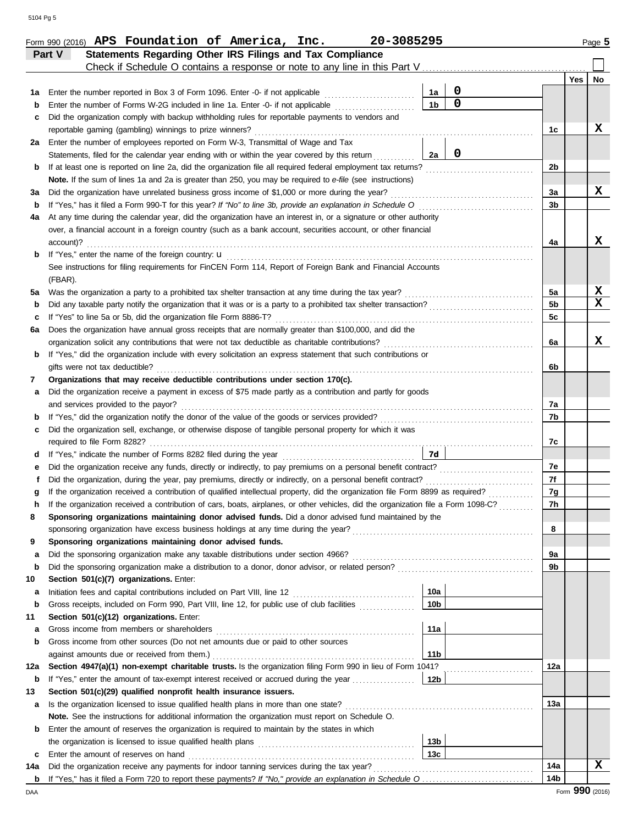|     | Statements Regarding Other IRS Filings and Tax Compliance<br>Part V                                                                |                |                 |                         |
|-----|------------------------------------------------------------------------------------------------------------------------------------|----------------|-----------------|-------------------------|
|     | Check if Schedule O contains a response or note to any line in this Part V                                                         |                | Yes             | No                      |
| 1a  | 0<br>Enter the number reported in Box 3 of Form 1096. Enter -0- if not applicable<br>1a                                            |                |                 |                         |
| b   | $\overline{0}$<br>1 <sub>b</sub><br>Enter the number of Forms W-2G included in line 1a. Enter -0- if not applicable                |                |                 |                         |
| c   | Did the organization comply with backup withholding rules for reportable payments to vendors and                                   |                |                 |                         |
|     | reportable gaming (gambling) winnings to prize winners?<br>.                                                                       | 1c             |                 | x                       |
| 2a  | Enter the number of employees reported on Form W-3, Transmittal of Wage and Tax                                                    |                |                 |                         |
|     | $\overline{\mathbf{0}}$<br>Statements, filed for the calendar year ending with or within the year covered by this return<br>2a     |                |                 |                         |
| b   | If at least one is reported on line 2a, did the organization file all required federal employment tax returns?                     | 2 <sub>b</sub> |                 |                         |
|     | Note. If the sum of lines 1a and 2a is greater than 250, you may be required to e-file (see instructions)                          |                |                 |                         |
| за  | Did the organization have unrelated business gross income of \$1,000 or more during the year?                                      | 3a             |                 | X                       |
| b   |                                                                                                                                    | 3b             |                 |                         |
| 4a  | At any time during the calendar year, did the organization have an interest in, or a signature or other authority                  |                |                 |                         |
|     | over, a financial account in a foreign country (such as a bank account, securities account, or other financial                     |                |                 |                         |
|     | account)?                                                                                                                          | 4a             |                 | X                       |
| b   | If "Yes," enter the name of the foreign country: <b>u</b>                                                                          |                |                 |                         |
|     | See instructions for filing requirements for FinCEN Form 114, Report of Foreign Bank and Financial Accounts                        |                |                 |                         |
|     | (FBAR).                                                                                                                            |                |                 |                         |
| 5a  | Was the organization a party to a prohibited tax shelter transaction at any time during the tax year?                              | 5a             |                 | X                       |
| b   |                                                                                                                                    | 5 <sub>b</sub> |                 | $\overline{\mathbf{x}}$ |
| c   | If "Yes" to line 5a or 5b, did the organization file Form 8886-T?                                                                  | 5c             |                 |                         |
| 6а  | Does the organization have annual gross receipts that are normally greater than \$100,000, and did the                             |                |                 |                         |
|     | organization solicit any contributions that were not tax deductible as charitable contributions?                                   | 6a             |                 | X                       |
| b   | If "Yes," did the organization include with every solicitation an express statement that such contributions or                     |                |                 |                         |
|     | gifts were not tax deductible?                                                                                                     | 6b             |                 |                         |
| 7   | Organizations that may receive deductible contributions under section 170(c).                                                      |                |                 |                         |
| а   | Did the organization receive a payment in excess of \$75 made partly as a contribution and partly for goods                        |                |                 |                         |
|     | and services provided to the payor?                                                                                                | 7a             |                 |                         |
| b   | If "Yes," did the organization notify the donor of the value of the goods or services provided?                                    | 7b             |                 |                         |
|     | Did the organization sell, exchange, or otherwise dispose of tangible personal property for which it was                           |                |                 |                         |
| c   | required to file Form 8282?                                                                                                        | 7c             |                 |                         |
|     | 7d                                                                                                                                 |                |                 |                         |
| d   |                                                                                                                                    |                |                 |                         |
| е   |                                                                                                                                    | 7e             |                 |                         |
| f   | Did the organization, during the year, pay premiums, directly or indirectly, on a personal benefit contract?                       | 7f             |                 |                         |
| g   | If the organization received a contribution of qualified intellectual property, did the organization file Form 8899 as required?   | 7g             |                 |                         |
| h   | If the organization received a contribution of cars, boats, airplanes, or other vehicles, did the organization file a Form 1098-C? | 7h             |                 |                         |
|     | Sponsoring organizations maintaining donor advised funds. Did a donor advised fund maintained by the                               |                |                 |                         |
|     |                                                                                                                                    | 8              |                 |                         |
| 9   | Sponsoring organizations maintaining donor advised funds.                                                                          |                |                 |                         |
| а   |                                                                                                                                    | 9a             |                 |                         |
| b   |                                                                                                                                    | 9b             |                 |                         |
| 10  | Section 501(c)(7) organizations. Enter:                                                                                            |                |                 |                         |
| а   | 10a                                                                                                                                |                |                 |                         |
| b   | 10 <sub>b</sub><br>Gross receipts, included on Form 990, Part VIII, line 12, for public use of club facilities                     |                |                 |                         |
| 11  | Section 501(c)(12) organizations. Enter:                                                                                           |                |                 |                         |
| а   | 11a<br>Gross income from members or shareholders                                                                                   |                |                 |                         |
| b   | Gross income from other sources (Do not net amounts due or paid to other sources                                                   |                |                 |                         |
|     | 11b                                                                                                                                |                |                 |                         |
| 12a | Section 4947(a)(1) non-exempt charitable trusts. Is the organization filing Form 990 in lieu of Form 1041?                         | 12a            |                 |                         |
| b   | 12b <br>If "Yes," enter the amount of tax-exempt interest received or accrued during the year                                      |                |                 |                         |
| 13  | Section 501(c)(29) qualified nonprofit health insurance issuers.                                                                   |                |                 |                         |
| a   | Is the organization licensed to issue qualified health plans in more than one state?                                               | 13а            |                 |                         |
|     | Note. See the instructions for additional information the organization must report on Schedule O.                                  |                |                 |                         |
| b   | Enter the amount of reserves the organization is required to maintain by the states in which                                       |                |                 |                         |
|     | 13 <sub>b</sub>                                                                                                                    |                |                 |                         |
| c   | 13c<br>Enter the amount of reserves on hand                                                                                        |                |                 |                         |
| 14a | Did the organization receive any payments for indoor tanning services during the tax year?                                         | 14a            |                 | X                       |
| b   |                                                                                                                                    | 14b            |                 |                         |
| DAA |                                                                                                                                    |                | Form 990 (2016) |                         |

Form 990 (2016) Page **5 APS Foundation of America, Inc. 20-3085295**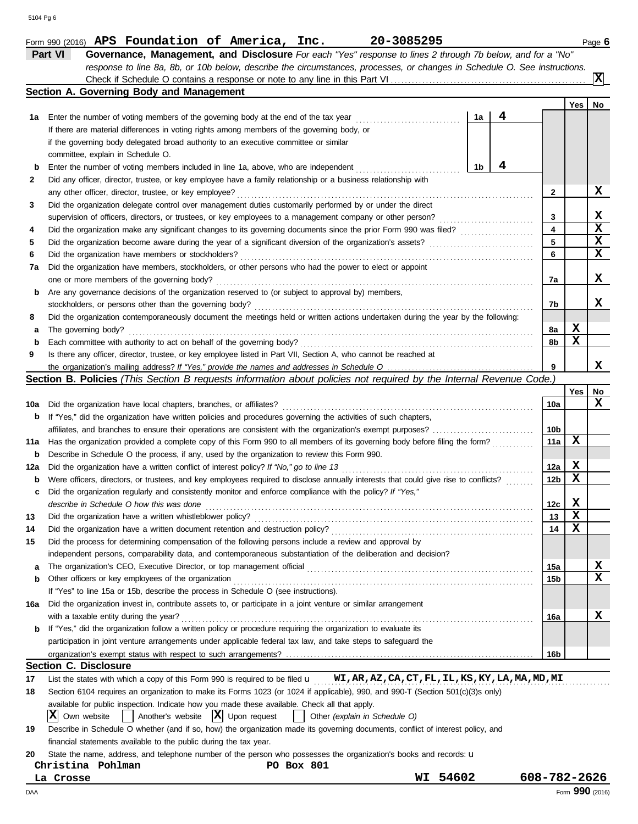|     | Part VI<br>Governance, Management, and Disclosure For each "Yes" response to lines 2 through 7b below, and for a "No"                                       |       |   |                 |             |                 |
|-----|-------------------------------------------------------------------------------------------------------------------------------------------------------------|-------|---|-----------------|-------------|-----------------|
|     | response to line 8a, 8b, or 10b below, describe the circumstances, processes, or changes in Schedule O. See instructions.                                   |       |   |                 |             | X)              |
|     | Section A. Governing Body and Management                                                                                                                    |       |   |                 |             |                 |
|     |                                                                                                                                                             |       |   |                 | Yes         | No              |
| 1a  | Enter the number of voting members of the governing body at the end of the tax year                                                                         | 1a    | 4 |                 |             |                 |
|     | If there are material differences in voting rights among members of the governing body, or                                                                  |       |   |                 |             |                 |
|     | if the governing body delegated broad authority to an executive committee or similar                                                                        |       |   |                 |             |                 |
|     | committee, explain in Schedule O.                                                                                                                           |       |   |                 |             |                 |
| b   | Enter the number of voting members included in line 1a, above, who are independent                                                                          | 1b    | 4 |                 |             |                 |
| 2   | Did any officer, director, trustee, or key employee have a family relationship or a business relationship with                                              |       |   |                 |             |                 |
|     | any other officer, director, trustee, or key employee?                                                                                                      |       |   | $\mathbf{2}$    |             | X               |
| 3   | Did the organization delegate control over management duties customarily performed by or under the direct                                                   |       |   |                 |             |                 |
|     | supervision of officers, directors, or trustees, or key employees to a management company or other person?                                                  |       |   | 3               |             | X               |
| 4   |                                                                                                                                                             |       |   | 4               |             | $\mathbf x$     |
| 5   |                                                                                                                                                             |       |   | 5               |             | $\mathbf x$     |
| 6   | Did the organization have members or stockholders?                                                                                                          |       |   | 6               |             | X               |
| 7а  | Did the organization have members, stockholders, or other persons who had the power to elect or appoint                                                     |       |   |                 |             |                 |
|     | one or more members of the governing body?                                                                                                                  |       |   | 7a              |             | X               |
| b   | Are any governance decisions of the organization reserved to (or subject to approval by) members,                                                           |       |   |                 |             |                 |
|     | stockholders, or persons other than the governing body?                                                                                                     |       |   | 7b              |             | x               |
| 8   | Did the organization contemporaneously document the meetings held or written actions undertaken during the year by the following:                           |       |   |                 |             |                 |
| а   | The governing body?                                                                                                                                         |       |   | 8а              | X           |                 |
| b   | Each committee with authority to act on behalf of the governing body?                                                                                       |       |   | 8b              | X           |                 |
| 9   | Is there any officer, director, trustee, or key employee listed in Part VII, Section A, who cannot be reached at                                            |       |   |                 |             |                 |
|     |                                                                                                                                                             |       |   | 9               |             | x               |
|     | Section B. Policies (This Section B requests information about policies not required by the Internal Revenue Code.)                                         |       |   |                 |             |                 |
|     |                                                                                                                                                             |       |   |                 | Yes         | No              |
| 10a | Did the organization have local chapters, branches, or affiliates?                                                                                          |       |   | 10a             |             | X               |
| b   | If "Yes," did the organization have written policies and procedures governing the activities of such chapters,                                              |       |   |                 |             |                 |
|     |                                                                                                                                                             |       |   | 10b             |             |                 |
| 11a | Has the organization provided a complete copy of this Form 990 to all members of its governing body before filing the form?                                 |       |   | 11a             | х           |                 |
| b   | Describe in Schedule O the process, if any, used by the organization to review this Form 990.                                                               |       |   |                 |             |                 |
| 12a | Did the organization have a written conflict of interest policy? If "No," go to line 13                                                                     |       |   | 12a             | X           |                 |
| b   | Were officers, directors, or trustees, and key employees required to disclose annually interests that could give rise to conflicts?                         |       |   | 12 <sub>b</sub> | x           |                 |
| c   | Did the organization regularly and consistently monitor and enforce compliance with the policy? If "Yes,"                                                   |       |   |                 |             |                 |
|     | describe in Schedule O how this was done                                                                                                                    |       |   | 12c             | X           |                 |
| 13  | Did the organization have a written whistleblower policy?                                                                                                   |       |   | 13              | X           |                 |
| 14  |                                                                                                                                                             |       |   | 14              | $\mathbf x$ |                 |
| 15  | Did the process for determining compensation of the following persons include a review and approval by                                                      |       |   |                 |             |                 |
|     | independent persons, comparability data, and contemporaneous substantiation of the deliberation and decision?                                               |       |   |                 |             |                 |
| a   |                                                                                                                                                             |       |   | 15a             |             | X               |
| b   | Other officers or key employees of the organization                                                                                                         |       |   | 15b             |             | $\mathbf x$     |
|     | If "Yes" to line 15a or 15b, describe the process in Schedule O (see instructions).                                                                         |       |   |                 |             |                 |
| 16a | Did the organization invest in, contribute assets to, or participate in a joint venture or similar arrangement                                              |       |   |                 |             |                 |
|     | with a taxable entity during the year?                                                                                                                      |       |   | 16a             |             | x               |
| b   | If "Yes," did the organization follow a written policy or procedure requiring the organization to evaluate its                                              |       |   |                 |             |                 |
|     | participation in joint venture arrangements under applicable federal tax law, and take steps to safeguard the                                               |       |   |                 |             |                 |
|     |                                                                                                                                                             |       |   | 16b             |             |                 |
|     | <b>Section C. Disclosure</b>                                                                                                                                |       |   |                 |             |                 |
| 17  | List the states with which a copy of this Form 990 is required to be filed u WI, AR, AZ, CA, CT, FL, IL, KS, KY, LA, MA, MD, MI                             |       |   |                 |             |                 |
| 18  | Section 6104 requires an organization to make its Forms 1023 (or 1024 if applicable), 990, and 990-T (Section 501(c)(3)s only)                              |       |   |                 |             |                 |
|     | available for public inspection. Indicate how you made these available. Check all that apply.                                                               |       |   |                 |             |                 |
|     | $\int$ Another's website $ \mathbf{X} $ Upon request<br>ΙXΙ<br>Other (explain in Schedule O)<br>Own website<br>$\mathbf{1}$                                 |       |   |                 |             |                 |
| 19  | Describe in Schedule O whether (and if so, how) the organization made its governing documents, conflict of interest policy, and                             |       |   |                 |             |                 |
|     | financial statements available to the public during the tax year.                                                                                           |       |   |                 |             |                 |
|     |                                                                                                                                                             |       |   |                 |             |                 |
| 20  | State the name, address, and telephone number of the person who possesses the organization's books and records: u<br>Christina Pohlman<br><b>PO Box 801</b> |       |   |                 |             |                 |
| La. | WI<br>Crosse                                                                                                                                                | 54602 |   | 608-782-2626    |             |                 |
|     |                                                                                                                                                             |       |   |                 |             | Form 990 (2016) |
| DAA |                                                                                                                                                             |       |   |                 |             |                 |

Form 990 (2016) **APS Foundation of America, Inc. 20-3085295** Page **6** Page **6** 

**APS Foundation of America, Inc. 20-3085295**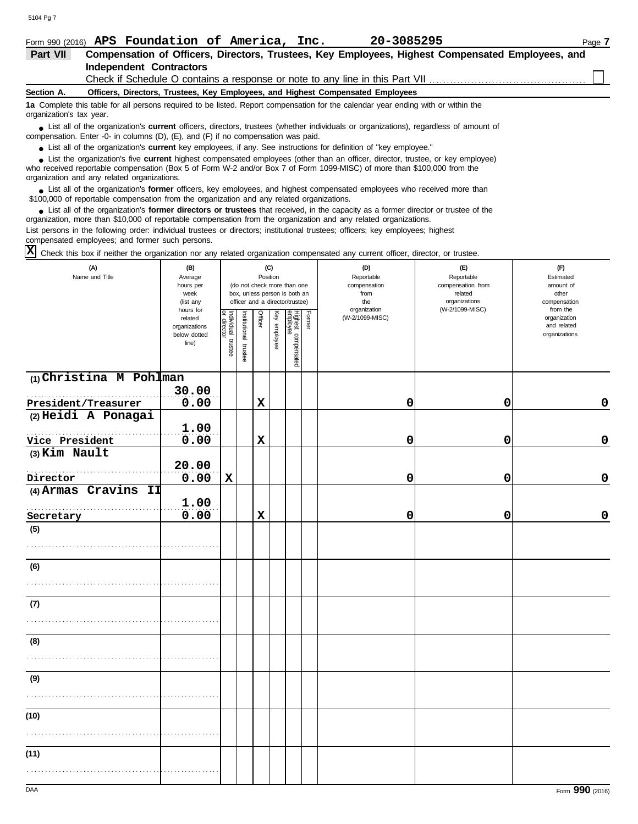| Form 990 (2016)          | APS Foundation of America, Inc.<br>20-3085295                                                                                                                                                                                      | Page 7 |
|--------------------------|------------------------------------------------------------------------------------------------------------------------------------------------------------------------------------------------------------------------------------|--------|
| Part VII                 | Compensation of Officers, Directors, Trustees, Key Employees, Highest Compensated Employees, and                                                                                                                                   |        |
|                          | <b>Independent Contractors</b>                                                                                                                                                                                                     |        |
|                          | Check if Schedule O contains a response or note to any line in this Part VII                                                                                                                                                       |        |
| Section A.               | Officers, Directors, Trustees, Key Employees, and Highest Compensated Employees                                                                                                                                                    |        |
| organization's tax year. | 1a Complete this table for all persons required to be listed. Report compensation for the calendar year ending with or within the                                                                                                  |        |
|                          | • List all of the organization's <b>current</b> officers, directors, trustees (whether individuals or organizations), regardless of amount of<br>compensation. Enter -0- in columns (D), (E), and (F) if no compensation was paid. |        |
|                          | • List all of the organization's current key employees, if any. See instructions for definition of "key employee."                                                                                                                 |        |
|                          | I ist the organization's five current bighest compensated employees (other than an officer director trustee or key employee)                                                                                                       |        |

who received reportable compensation (Box 5 of Form W-2 and/or Box 7 of Form 1099-MISC) of more than \$100,000 from the organization and any related organizations. ■ List the organization's five **current** highest compensated employees (other than an officer, director, trustee, or key employee)<br> **•** Preceived constable compensation (Box 5 of Ferm W 2 and/or Box 7 of Ferm 1000 MISC) o

■ List all of the organization's **former** officers, key employees, and highest compensated employees who received more than<br> **•** 00.000 of reportable compensation from the examization and any related erganizations \$100,000 of reportable compensation from the organization and any related organizations.

■ List all of the organization's **former directors or trustees** that received, in the capacity as a former director or trustee of the practization more than \$10,000 of reportable compensation from the organization and any organization, more than \$10,000 of reportable compensation from the organization and any related organizations. List persons in the following order: individual trustees or directors; institutional trustees; officers; key employees; highest compensated employees; and former such persons.

Check this box if neither the organization nor any related organization compensated any current officer, director, or trustee. **X**

| (A)<br>Name and Title     | (B)<br>Average<br>hours per<br>week<br>(list any               |                                   | (C)<br>Position<br>(do not check more than one<br>box, unless person is both an<br>officer and a director/trustee) |                |              |                                 |        | (D)<br>Reportable<br>compensation<br>from<br>the | (E)<br>Reportable<br>compensation from<br>related<br>organizations | (F)<br>Estimated<br>amount of<br>other<br>compensation   |
|---------------------------|----------------------------------------------------------------|-----------------------------------|--------------------------------------------------------------------------------------------------------------------|----------------|--------------|---------------------------------|--------|--------------------------------------------------|--------------------------------------------------------------------|----------------------------------------------------------|
|                           | hours for<br>related<br>organizations<br>below dotted<br>line) | Individual trustee<br>or director | Institutional trustee                                                                                              | <b>Officer</b> | Key employee | Highest compensated<br>employee | Former | organization<br>(W-2/1099-MISC)                  | (W-2/1099-MISC)                                                    | from the<br>organization<br>and related<br>organizations |
| $(1)$ Christina M Pohlman | 30.00                                                          |                                   |                                                                                                                    |                |              |                                 |        |                                                  |                                                                    |                                                          |
| President/Treasurer       | 0.00                                                           |                                   |                                                                                                                    | $\mathbf x$    |              |                                 |        | 0                                                | 0                                                                  | 0                                                        |
| (2) Heidi A Ponagai       |                                                                |                                   |                                                                                                                    |                |              |                                 |        |                                                  |                                                                    |                                                          |
|                           | 1.00                                                           |                                   |                                                                                                                    |                |              |                                 |        |                                                  |                                                                    |                                                          |
| Vice President            | 0.00                                                           |                                   |                                                                                                                    | $\mathbf x$    |              |                                 |        | 0                                                | 0                                                                  | $\mathbf 0$                                              |
| (3) Kim Nault             | 20.00                                                          |                                   |                                                                                                                    |                |              |                                 |        |                                                  |                                                                    |                                                          |
| Director                  | 0.00                                                           | $\mathbf x$                       |                                                                                                                    |                |              |                                 |        | 0                                                | 0                                                                  | 0                                                        |
| (4) Armas Cravins II      |                                                                |                                   |                                                                                                                    |                |              |                                 |        |                                                  |                                                                    |                                                          |
|                           | 1.00                                                           |                                   |                                                                                                                    |                |              |                                 |        |                                                  |                                                                    |                                                          |
| Secretary                 | 0.00                                                           |                                   |                                                                                                                    | $\mathbf x$    |              |                                 |        | 0                                                | 0                                                                  | 0                                                        |
| (5)                       |                                                                |                                   |                                                                                                                    |                |              |                                 |        |                                                  |                                                                    |                                                          |
| (6)                       |                                                                |                                   |                                                                                                                    |                |              |                                 |        |                                                  |                                                                    |                                                          |
|                           |                                                                |                                   |                                                                                                                    |                |              |                                 |        |                                                  |                                                                    |                                                          |
| (7)                       |                                                                |                                   |                                                                                                                    |                |              |                                 |        |                                                  |                                                                    |                                                          |
|                           |                                                                |                                   |                                                                                                                    |                |              |                                 |        |                                                  |                                                                    |                                                          |
| (8)                       |                                                                |                                   |                                                                                                                    |                |              |                                 |        |                                                  |                                                                    |                                                          |
|                           |                                                                |                                   |                                                                                                                    |                |              |                                 |        |                                                  |                                                                    |                                                          |
| (9)                       |                                                                |                                   |                                                                                                                    |                |              |                                 |        |                                                  |                                                                    |                                                          |
|                           |                                                                |                                   |                                                                                                                    |                |              |                                 |        |                                                  |                                                                    |                                                          |
| (10)                      |                                                                |                                   |                                                                                                                    |                |              |                                 |        |                                                  |                                                                    |                                                          |
|                           |                                                                |                                   |                                                                                                                    |                |              |                                 |        |                                                  |                                                                    |                                                          |
| (11)                      |                                                                |                                   |                                                                                                                    |                |              |                                 |        |                                                  |                                                                    |                                                          |
|                           |                                                                |                                   |                                                                                                                    |                |              |                                 |        |                                                  |                                                                    |                                                          |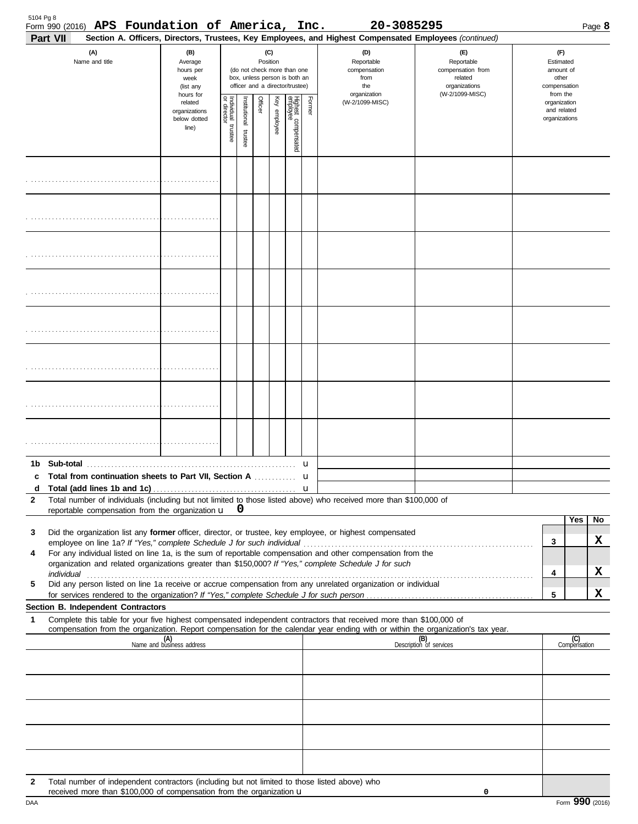| Part VII                                                                                                                                                                                                                                                                                                                                |                                                               |                                        |                          |         |                 |                                                                                                 |        | Section A. Officers, Directors, Trustees, Key Employees, and Highest Compensated Employees (continued) |                                                                                       |                                                                    |                     |    |
|-----------------------------------------------------------------------------------------------------------------------------------------------------------------------------------------------------------------------------------------------------------------------------------------------------------------------------------------|---------------------------------------------------------------|----------------------------------------|--------------------------|---------|-----------------|-------------------------------------------------------------------------------------------------|--------|--------------------------------------------------------------------------------------------------------|---------------------------------------------------------------------------------------|--------------------------------------------------------------------|---------------------|----|
| (A)<br>Name and title                                                                                                                                                                                                                                                                                                                   | (B)<br>Average<br>hours per<br>week<br>(list any<br>hours for |                                        |                          |         | (C)<br>Position | (do not check more than one<br>box, unless person is both an<br>officer and a director/trustee) |        | (D)<br>Reportable<br>compensation<br>from<br>the<br>organization                                       | (E)<br>Reportable<br>compensation from<br>related<br>organizations<br>(W-2/1099-MISC) | (F)<br>Estimated<br>amount of<br>other<br>compensation<br>from the |                     |    |
|                                                                                                                                                                                                                                                                                                                                         | related<br>organizations<br>below dotted<br>line)             | Individual 1<br>or director<br>trustee | Institutional<br>trustee | Officer | Key employee    | Highest compensated<br>employee                                                                 | Former | (W-2/1099-MISC)                                                                                        |                                                                                       | organization<br>and related<br>organizations                       |                     |    |
|                                                                                                                                                                                                                                                                                                                                         |                                                               |                                        |                          |         |                 |                                                                                                 |        |                                                                                                        |                                                                                       |                                                                    |                     |    |
|                                                                                                                                                                                                                                                                                                                                         |                                                               |                                        |                          |         |                 |                                                                                                 |        |                                                                                                        |                                                                                       |                                                                    |                     |    |
|                                                                                                                                                                                                                                                                                                                                         |                                                               |                                        |                          |         |                 |                                                                                                 |        |                                                                                                        |                                                                                       |                                                                    |                     |    |
|                                                                                                                                                                                                                                                                                                                                         |                                                               |                                        |                          |         |                 |                                                                                                 |        |                                                                                                        |                                                                                       |                                                                    |                     |    |
|                                                                                                                                                                                                                                                                                                                                         |                                                               |                                        |                          |         |                 |                                                                                                 |        |                                                                                                        |                                                                                       |                                                                    |                     |    |
|                                                                                                                                                                                                                                                                                                                                         |                                                               |                                        |                          |         |                 |                                                                                                 |        |                                                                                                        |                                                                                       |                                                                    |                     |    |
|                                                                                                                                                                                                                                                                                                                                         |                                                               |                                        |                          |         |                 |                                                                                                 |        |                                                                                                        |                                                                                       |                                                                    |                     |    |
|                                                                                                                                                                                                                                                                                                                                         |                                                               |                                        |                          |         |                 |                                                                                                 |        |                                                                                                        |                                                                                       |                                                                    |                     |    |
|                                                                                                                                                                                                                                                                                                                                         |                                                               |                                        |                          |         |                 |                                                                                                 | u      |                                                                                                        |                                                                                       |                                                                    |                     |    |
| c Total from continuation sheets to Part VII. Section A<br>d                                                                                                                                                                                                                                                                            |                                                               |                                        |                          |         |                 |                                                                                                 | u      |                                                                                                        |                                                                                       |                                                                    |                     |    |
| Total number of individuals (including but not limited to those listed above) who received more than \$100,000 of<br>$\mathbf{2}$                                                                                                                                                                                                       |                                                               |                                        |                          |         |                 |                                                                                                 |        |                                                                                                        |                                                                                       |                                                                    |                     |    |
| reportable compensation from the organization u                                                                                                                                                                                                                                                                                         |                                                               |                                        | 0                        |         |                 |                                                                                                 |        |                                                                                                        |                                                                                       |                                                                    | Yes                 | No |
| Did the organization list any former officer, director, or trustee, key employee, or highest compensated<br>3                                                                                                                                                                                                                           |                                                               |                                        |                          |         |                 |                                                                                                 |        |                                                                                                        |                                                                                       |                                                                    |                     | x  |
| employee on line 1a? If "Yes," complete Schedule J for such individual<br>For any individual listed on line 1a, is the sum of reportable compensation and other compensation from the<br>4                                                                                                                                              |                                                               |                                        |                          |         |                 |                                                                                                 |        |                                                                                                        |                                                                                       | 3                                                                  |                     |    |
| organization and related organizations greater than \$150,000? If "Yes," complete Schedule J for such<br>individual with the contract of the contract of the contract of the contract of the contract of the contract of the contract of the contract of the contract of the contract of the contract of the contract of the contract o |                                                               |                                        |                          |         |                 |                                                                                                 |        |                                                                                                        |                                                                                       | 4                                                                  |                     | X  |
| Did any person listed on line 1a receive or accrue compensation from any unrelated organization or individual<br>5                                                                                                                                                                                                                      |                                                               |                                        |                          |         |                 |                                                                                                 |        |                                                                                                        |                                                                                       | 5                                                                  |                     | x  |
| Section B. Independent Contractors                                                                                                                                                                                                                                                                                                      |                                                               |                                        |                          |         |                 |                                                                                                 |        |                                                                                                        |                                                                                       |                                                                    |                     |    |
| Complete this table for your five highest compensated independent contractors that received more than \$100,000 of<br>1<br>compensation from the organization. Report compensation for the calendar year ending with or within the organization's tax year.                                                                             |                                                               |                                        |                          |         |                 |                                                                                                 |        |                                                                                                        |                                                                                       |                                                                    |                     |    |
|                                                                                                                                                                                                                                                                                                                                         | (A)<br>Name and business address                              |                                        |                          |         |                 |                                                                                                 |        |                                                                                                        | (B)<br>Description of services                                                        |                                                                    | (C)<br>Compensation |    |
|                                                                                                                                                                                                                                                                                                                                         |                                                               |                                        |                          |         |                 |                                                                                                 |        |                                                                                                        |                                                                                       |                                                                    |                     |    |
|                                                                                                                                                                                                                                                                                                                                         |                                                               |                                        |                          |         |                 |                                                                                                 |        |                                                                                                        |                                                                                       |                                                                    |                     |    |
|                                                                                                                                                                                                                                                                                                                                         |                                                               |                                        |                          |         |                 |                                                                                                 |        |                                                                                                        |                                                                                       |                                                                    |                     |    |
|                                                                                                                                                                                                                                                                                                                                         |                                                               |                                        |                          |         |                 |                                                                                                 |        |                                                                                                        |                                                                                       |                                                                    |                     |    |
|                                                                                                                                                                                                                                                                                                                                         |                                                               |                                        |                          |         |                 |                                                                                                 |        |                                                                                                        |                                                                                       |                                                                    |                     |    |
| Total number of independent contractors (including but not limited to those listed above) who<br>$\mathbf{2}$<br>received more than \$100,000 of compensation from the organization u                                                                                                                                                   |                                                               |                                        |                          |         |                 |                                                                                                 |        |                                                                                                        | 0                                                                                     |                                                                    |                     |    |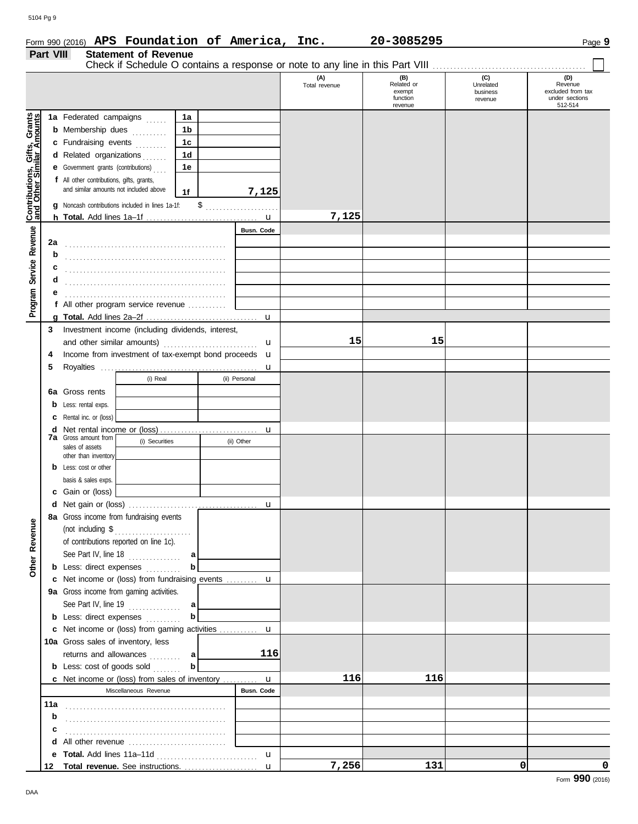|                                                           | Form 990 (2016) APS Foundation of America, Inc.<br>Part VIII<br><b>Statement of Revenue</b> |                                  |               |                      | 20-3085295                                         |                                         | Page 9                                                           |
|-----------------------------------------------------------|---------------------------------------------------------------------------------------------|----------------------------------|---------------|----------------------|----------------------------------------------------|-----------------------------------------|------------------------------------------------------------------|
|                                                           |                                                                                             |                                  |               | (A)<br>Total revenue | (B)<br>Related or<br>exempt<br>function<br>revenue | (C)<br>Unrelated<br>business<br>revenue | (D)<br>Revenue<br>excluded from tax<br>under sections<br>512-514 |
|                                                           | 1a Federated campaigns                                                                      | 1a                               |               |                      |                                                    |                                         |                                                                  |
|                                                           | <b>b</b> Membership dues                                                                    | 1 <sub>b</sub><br>1 <sub>c</sub> |               |                      |                                                    |                                         |                                                                  |
|                                                           | c Fundraising events<br>d Related organizations                                             | 1 <sub>d</sub>                   |               |                      |                                                    |                                         |                                                                  |
|                                                           | <b>e</b> Government grants (contributions)                                                  | 1e                               |               |                      |                                                    |                                         |                                                                  |
| Contributions, Gifts, Grants<br>and Other Similar Amounts | f All other contributions, gifts, grants,<br>and similar amounts not included above         | 1f                               | 7,125         |                      |                                                    |                                         |                                                                  |
|                                                           | g Noncash contributions included in lines 1a-1f:                                            |                                  | $\frac{1}{2}$ | 7,125                |                                                    |                                         |                                                                  |
|                                                           |                                                                                             |                                  | Busn, Code    |                      |                                                    |                                         |                                                                  |
| Service Revenue                                           | 2a                                                                                          |                                  |               |                      |                                                    |                                         |                                                                  |
|                                                           | b                                                                                           |                                  |               |                      |                                                    |                                         |                                                                  |
|                                                           | c<br>d                                                                                      |                                  |               |                      |                                                    |                                         |                                                                  |
|                                                           | е                                                                                           |                                  |               |                      |                                                    |                                         |                                                                  |
| Program                                                   | f All other program service revenue                                                         |                                  |               |                      |                                                    |                                         |                                                                  |
|                                                           |                                                                                             |                                  |               |                      |                                                    |                                         |                                                                  |
|                                                           | Investment income (including dividends, interest,<br>$\mathbf{3}$                           |                                  |               |                      |                                                    |                                         |                                                                  |
|                                                           | and other similar amounts)                                                                  |                                  | $\mathbf{u}$  | 15                   | 15                                                 |                                         |                                                                  |
|                                                           | Income from investment of tax-exempt bond proceeds <b>u</b><br>4                            |                                  |               |                      |                                                    |                                         |                                                                  |
|                                                           | 5                                                                                           |                                  |               |                      |                                                    |                                         |                                                                  |

u

**6a** Gross rents **b** Less: rental exps. **c** Rental inc. or (loss)

> sales of assets other than inventory

**d** Net rental income or (loss) . . . . . . . . . . . . . . . . . . . . . . . . . . . . **7a** Gross amount from

(i) Real (ii) Personal

(i) Securities (ii) Other

|     | <b>b</b> Less: cost or other                         |                   |       |     |   |       |
|-----|------------------------------------------------------|-------------------|-------|-----|---|-------|
|     | basis & sales exps.                                  |                   |       |     |   |       |
| c   | Gain or (loss)                                       |                   |       |     |   |       |
|     |                                                      |                   |       |     |   |       |
|     | 8a Gross income from fundraising events              |                   |       |     |   |       |
|     | (not including \$<br>.                               |                   |       |     |   |       |
|     | of contributions reported on line 1c).               |                   |       |     |   |       |
|     | See Part IV, line 18 $\ldots$<br>a                   |                   |       |     |   |       |
|     | <b>b</b> Less: direct expenses <i>minimals</i><br>b  |                   |       |     |   |       |
|     | c Net income or (loss) from fundraising events  u    |                   |       |     |   |       |
|     | 9a Gross income from gaming activities.              |                   |       |     |   |       |
|     | See Part IV, line 19<br>a                            |                   |       |     |   |       |
|     | b<br><b>b</b> Less: direct expenses                  |                   |       |     |   |       |
| c   | Net income or (loss) from gaming activities <b>u</b> |                   |       |     |   |       |
|     | <b>10a</b> Gross sales of inventory, less            |                   |       |     |   |       |
|     | returns and allowances<br>a l                        | 116               |       |     |   |       |
|     | <b>b</b> Less: $cost$ of goods $sol$<br>$\mathbf b$  |                   |       |     |   |       |
|     | c Net income or (loss) from sales of inventory  u    |                   | 116   | 116 |   |       |
|     | Miscellaneous Revenue                                | <b>Busn. Code</b> |       |     |   |       |
| 11a |                                                      |                   |       |     |   |       |
| b   |                                                      |                   |       |     |   |       |
| C   |                                                      |                   |       |     |   |       |
| d   |                                                      |                   |       |     |   |       |
| е   |                                                      | $\mathbf u$       |       |     |   |       |
| 12  | Total revenue. See instructions.                     | $\mathbf u$       | 7,256 | 131 | 0 | 0     |
|     |                                                      |                   |       |     |   | nnn . |

 $\equiv$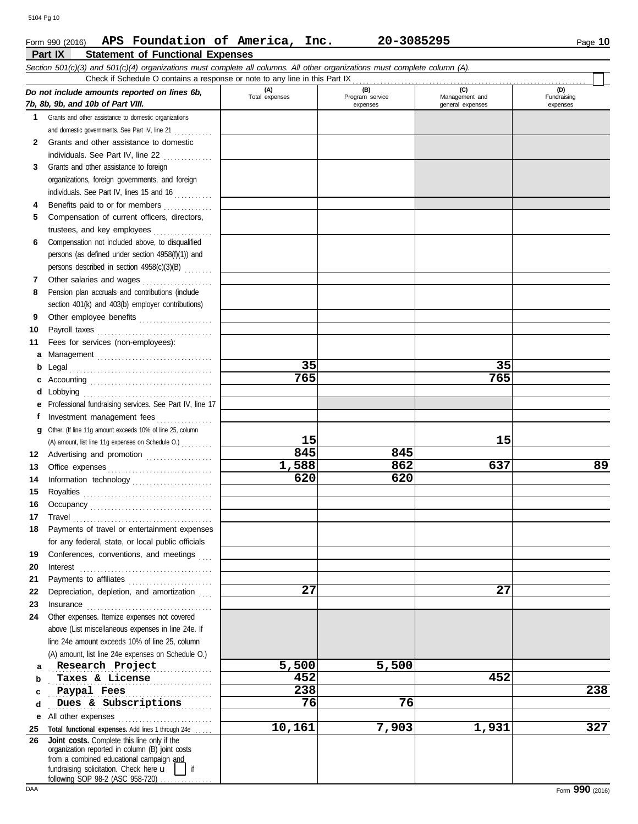### **Part IX Statement of Functional Expenses** Form 990 (2016) Page **10 APS Foundation of America, Inc. 20-3085295**

|              | Section 501(c)(3) and 501(c)(4) organizations must complete all columns. All other organizations must complete column (A).                                                                                                             |                       |                                    |                                           |                                |
|--------------|----------------------------------------------------------------------------------------------------------------------------------------------------------------------------------------------------------------------------------------|-----------------------|------------------------------------|-------------------------------------------|--------------------------------|
|              | Check if Schedule O contains a response or note to any line in this Part IX                                                                                                                                                            |                       |                                    |                                           |                                |
|              | Do not include amounts reported on lines 6b,<br>7b, 8b, 9b, and 10b of Part VIII.                                                                                                                                                      | (A)<br>Total expenses | (B)<br>Program service<br>expenses | (C)<br>Management and<br>general expenses | (D)<br>Fundraising<br>expenses |
| 1.           | Grants and other assistance to domestic organizations                                                                                                                                                                                  |                       |                                    |                                           |                                |
|              | and domestic governments. See Part IV, line 21                                                                                                                                                                                         |                       |                                    |                                           |                                |
| $\mathbf{2}$ | Grants and other assistance to domestic                                                                                                                                                                                                |                       |                                    |                                           |                                |
|              | individuals. See Part IV, line 22<br>.                                                                                                                                                                                                 |                       |                                    |                                           |                                |
| 3            | Grants and other assistance to foreign                                                                                                                                                                                                 |                       |                                    |                                           |                                |
|              | organizations, foreign governments, and foreign                                                                                                                                                                                        |                       |                                    |                                           |                                |
|              | individuals. See Part IV, lines 15 and 16                                                                                                                                                                                              |                       |                                    |                                           |                                |
| 4            | Benefits paid to or for members                                                                                                                                                                                                        |                       |                                    |                                           |                                |
| 5            | Compensation of current officers, directors,                                                                                                                                                                                           |                       |                                    |                                           |                                |
|              | trustees, and key employees                                                                                                                                                                                                            |                       |                                    |                                           |                                |
| 6            | Compensation not included above, to disqualified                                                                                                                                                                                       |                       |                                    |                                           |                                |
|              | persons (as defined under section 4958(f)(1)) and                                                                                                                                                                                      |                       |                                    |                                           |                                |
|              | persons described in section 4958(c)(3)(B)                                                                                                                                                                                             |                       |                                    |                                           |                                |
| 7            | Other salaries and wages                                                                                                                                                                                                               |                       |                                    |                                           |                                |
| 8            | .<br>Pension plan accruals and contributions (include                                                                                                                                                                                  |                       |                                    |                                           |                                |
|              | section 401(k) and 403(b) employer contributions)                                                                                                                                                                                      |                       |                                    |                                           |                                |
| 9            | Other employee benefits                                                                                                                                                                                                                |                       |                                    |                                           |                                |
| 10           |                                                                                                                                                                                                                                        |                       |                                    |                                           |                                |
| 11           | Fees for services (non-employees):                                                                                                                                                                                                     |                       |                                    |                                           |                                |
| а            |                                                                                                                                                                                                                                        |                       |                                    |                                           |                                |
| b            |                                                                                                                                                                                                                                        | 35                    |                                    | 35                                        |                                |
| c            |                                                                                                                                                                                                                                        | 765                   |                                    | 765                                       |                                |
|              |                                                                                                                                                                                                                                        |                       |                                    |                                           |                                |
| е            | Professional fundraising services. See Part IV, line 17                                                                                                                                                                                |                       |                                    |                                           |                                |
| f            | Investment management fees                                                                                                                                                                                                             |                       |                                    |                                           |                                |
|              | Other. (If line 11g amount exceeds 10% of line 25, column                                                                                                                                                                              |                       |                                    |                                           |                                |
| g            |                                                                                                                                                                                                                                        | 15                    |                                    | 15                                        |                                |
|              | (A) amount, list line 11g expenses on Schedule O.)                                                                                                                                                                                     | 845                   | 845                                |                                           |                                |
| 12           | Advertising and promotion                                                                                                                                                                                                              | 1,588                 | 862                                | 637                                       | 89                             |
| 13<br>14     |                                                                                                                                                                                                                                        | 620                   | 620                                |                                           |                                |
| 15           | Information technology                                                                                                                                                                                                                 |                       |                                    |                                           |                                |
|              |                                                                                                                                                                                                                                        |                       |                                    |                                           |                                |
| 16           |                                                                                                                                                                                                                                        |                       |                                    |                                           |                                |
| 17           | $\begin{minipage}{0.5\textwidth} \centering \begin{tabular}{@{}c@{}} \textbf{True} & \textbf{True} \\ \textbf{True} & \textbf{True} \\ \textbf{True} & \textbf{True} \\ \textbf{True} & \textbf{True} \\ \end{tabular} \end{minipage}$ |                       |                                    |                                           |                                |
| 18           | Payments of travel or entertainment expenses                                                                                                                                                                                           |                       |                                    |                                           |                                |
|              | for any federal, state, or local public officials<br>Conferences, conventions, and meetings                                                                                                                                            |                       |                                    |                                           |                                |
| 19           |                                                                                                                                                                                                                                        |                       |                                    |                                           |                                |
| 20<br>21     | Interest                                                                                                                                                                                                                               |                       |                                    |                                           |                                |
| 22           | Depreciation, depletion, and amortization                                                                                                                                                                                              | 27                    |                                    | 27                                        |                                |
| 23           |                                                                                                                                                                                                                                        |                       |                                    |                                           |                                |
| 24           | Other expenses. Itemize expenses not covered                                                                                                                                                                                           |                       |                                    |                                           |                                |
|              | above (List miscellaneous expenses in line 24e. If                                                                                                                                                                                     |                       |                                    |                                           |                                |
|              | line 24e amount exceeds 10% of line 25, column                                                                                                                                                                                         |                       |                                    |                                           |                                |
|              | (A) amount, list line 24e expenses on Schedule O.)                                                                                                                                                                                     |                       |                                    |                                           |                                |
| a            | Research Project                                                                                                                                                                                                                       | 5,500                 | 5,500                              |                                           |                                |
| b            | Taxes & License                                                                                                                                                                                                                        | 452                   |                                    | 452                                       |                                |
| c            | Paypal Fees                                                                                                                                                                                                                            | 238                   |                                    |                                           | 238                            |
| d            | Dues & Subscriptions                                                                                                                                                                                                                   | 76                    | 76                                 |                                           |                                |
|              |                                                                                                                                                                                                                                        |                       |                                    |                                           |                                |
| е            |                                                                                                                                                                                                                                        | 10,161                | 7,903                              | 1,931                                     | 327                            |
| 25<br>26     | Total functional expenses. Add lines 1 through 24e<br>Joint costs. Complete this line only if the                                                                                                                                      |                       |                                    |                                           |                                |
|              | organization reported in column (B) joint costs                                                                                                                                                                                        |                       |                                    |                                           |                                |
|              | from a combined educational campaign and                                                                                                                                                                                               |                       |                                    |                                           |                                |
|              | fundraising solicitation. Check here u<br>if<br>following SOP 98.2 (ASC 958.720)                                                                                                                                                       |                       |                                    |                                           |                                |

following SOP 98-2 (ASC 958-720) ................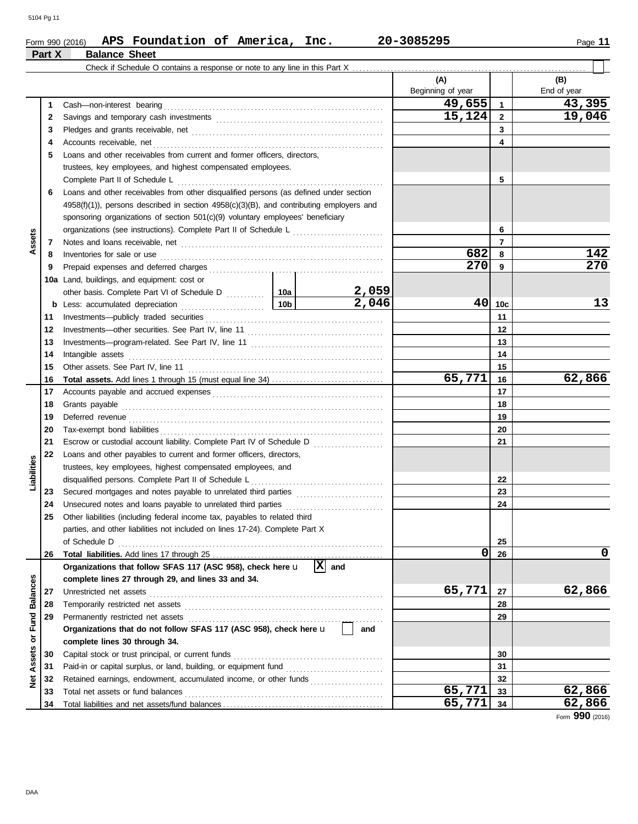#### **Part X Balance Sheet** Check if Schedule O contains a response or note to any line in this Part X **(A) (B)** Beginning of year  $\parallel$  End of year **49,655 43,395** Cash—non-interest bearing . . . . . . . . . . . . . . . . . . . . . . . . . . . . . . . . . . . . . . . . . . . . . . . . . . . . . . . . . . . . . . . **1 1 15,124 19,046** Savings and temporary cash investments . . . . . . . . . . . . . . . . . . . . . . . . . . . . . . . . . . . . . . . . . . . . . . . . **2 2 3 3** Pledges and grants receivable, net . . . . . . . . . . . . . . . . . . . . . . . . . . . . . . . . . . . . . . . . . . . . . . . . . . . . . . . **4 4** Accounts receivable, net . . . . . . . . . . . . . . . . . . . . . . . . . . . . . . . . . . . . . . . . . . . . . . . . . . . . . . . . . . . . . . . . . . **5** Loans and other receivables from current and former officers, directors, trustees, key employees, and highest compensated employees. Complete Part II of Schedule L . . . . . . . . . . . . . . . . . . . . . . . . . . . . . . . . . . . . . . . . . . . . . . . . . . . . . . . . . . . **5 6** Loans and other receivables from other disqualified persons (as defined under section 4958(f)(1)), persons described in section 4958(c)(3)(B), and contributing employers and sponsoring organizations of section 501(c)(9) voluntary employees' beneficiary organizations (see instructions). Complete Part II of Schedule L . . . . . . . . . . . . . . . . . . . . . . . . . . **6 Assets 7 7** Notes and loans receivable, net . . . . . . . . . . . . . . . . . . . . . . . . . . . . . . . . . . . . . . . . . . . . . . . . . . . . . . . . . . **682 142** Inventories for sale or use . . . . . . . . . . . . . . . . . . . . . . . . . . . . . . . . . . . . . . . . . . . . . . . . . . . . . . . . . . . . . . . . **8 8** Prepaid expenses and deferred charges . . . . . . . . . . . . . . . . . . . . . . . . . . . . . . . . . . . . . . . . . . . . . . . . . . **270 270 9 9 10a** Land, buildings, and equipment: cost or **2,059** other basis. Complete Part VI of Schedule D . . . . . . . . . 10a **2,046 40 13 10c b** Less: accumulated depreciation . . . . . . . . . . . . . . . . . . . . . . . . **10b** Investments—publicly traded securities . . . . . . . . . . . . . . . . . . . . . . . . . . . . . . . . . . . . . . . . . . . . . . . . . . . **11 11** Investments—other securities. See Part IV, line 11 . . . . . . . . . . . . . . . . . . . . . . . . . . . . . . . . . . . . . . . **12 12** Investments—program-related. See Part IV, line 11 . . . . . . . . . . . . . . . . . . . . . . . . . . . . . . . . . . . . . . **13 13 14 14** Intangible assets . . . . . . . . . . . . . . . . . . . . . . . . . . . . . . . . . . . . . . . . . . . . . . . . . . . . . . . . . . . . . . . . . . . . . . . . . **15 15** Other assets. See Part IV, line 11 . . . . . . . . . . . . . . . . . . . . . . . . . . . . . . . . . . . . . . . . . . . . . . . . . . . . . . . . **65,771 62,866 16 Total assets.** Add lines 1 through 15 (must equal line 34) . . . . . . . . . . . . . . . . . . . . . . . . . . . . . . . . **16** Accounts payable and accrued expenses . . . . . . . . . . . . . . . . . . . . . . . . . . . . . . . . . . . . . . . . . . . . . . . . . **17 17 18 18** Grants payable . . . . . . . . . . . . . . . . . . . . . . . . . . . . . . . . . . . . . . . . . . . . . . . . . . . . . . . . . . . . . . . . . . . . . . . . . . . **19** Deferred revenue . . . . . . . . . . . . . . . . . . . . . . . . . . . . . . . . . . . . . . . . . . . . . . . . . . . . . . . . . . . . . . . . . . . . . . . . . **19 20 20** Tax-exempt bond liabilities . . . . . . . . . . . . . . . . . . . . . . . . . . . . . . . . . . . . . . . . . . . . . . . . . . . . . . . . . . . . . . . . **21 21** Escrow or custodial account liability. Complete Part IV of Schedule D . . . . . . . . . . . . . . . . . . . . **22** Loans and other payables to current and former officers, directors, **Liabilities** trustees, key employees, highest compensated employees, and disqualified persons. Complete Part II of Schedule L . . . . . . . . . . . . . . . . . . . . . . . . . . . . . . . . . . . . . . **22** Secured mortgages and notes payable to unrelated third parties ......................... **23 23** Unsecured notes and loans payable to unrelated third parties . . . . . . . . . . . . . . . . . . . . . . . . . . . . **24 24 25** Other liabilities (including federal income tax, payables to related third parties, and other liabilities not included on lines 17-24). Complete Part X of Schedule D . . . . . . . . . . . . . . . . . . . . . . . . . . . . . . . . . . . . . . . . . . . . . . . . . . . . . . . . . . . . . . . . . . . . . . . . . . . . **25 0 0 26** Total liabilities. Add lines 17 through 25 **26 Organizations that follow SFAS 117 (ASC 958), check here** u **and X** Net Assets or Fund Balances **Net Assets or Fund Balances complete lines 27 through 29, and lines 33 and 34. 65,771 62,866** Unrestricted net assets . . . . . . . . . . . . . . . . . . . . . . . . . . . . . . . . . . . . . . . . . . . . . . . . . . . . . . . . . . . . . . . . . . . **27 27** Temporarily restricted net assets . . . . . . . . . . . . . . . . . . . . . . . . . . . . . . . . . . . . . . . . . . . . . . . . . . . . . . . . . **28 28** Permanently restricted net assets . . . . . . . . . . . . . . . . . . . . . . . . . . . . . . . . . . . . . . . . . . . . . . . . . . . . . . . . **29 29 Organizations that do not follow SFAS 117 (ASC 958), check here** u **and complete lines 30 through 34.** Capital stock or trust principal, or current funds . . . . . . . . . . . . . . . . . . . . . . . . . . . . . . . . . . . . . . . . . . . **30 30** Paid-in or capital surplus, or land, building, or equipment fund .................................. **31 31** Retained earnings, endowment, accumulated income, or other funds . . . . . . . . . . . . . . . . . . . . . **32 32 65,771 62,866** Total net assets or fund balances . . . . . . . . . . . . . . . . . . . . . . . . . . . . . . . . . . . . . . . . . . . . . . . . . . . . . . . . . **33 33** Total liabilities and net assets/fund balances . . . . . . . . . . . . . . . . . . . . . . . . . . . . . . . . . . . . . . . . . . . . . . **65,771 62,866 34 34**

Form **990** (2016)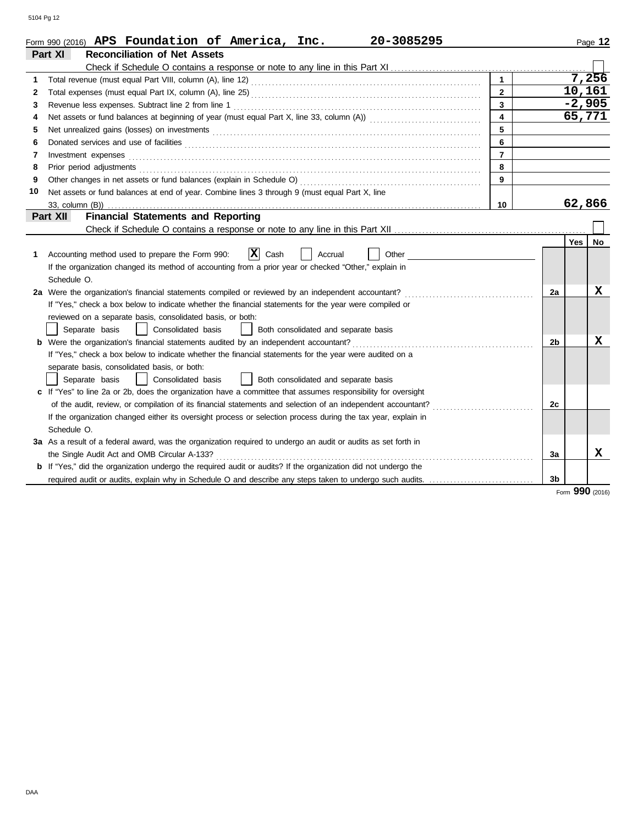|    | Form 990 (2016) APS Foundation of America, Inc.<br>20-3085295                                                                                                                                                                       |                         |                |          | Page 12 |
|----|-------------------------------------------------------------------------------------------------------------------------------------------------------------------------------------------------------------------------------------|-------------------------|----------------|----------|---------|
|    | Part XI<br><b>Reconciliation of Net Assets</b>                                                                                                                                                                                      |                         |                |          |         |
|    |                                                                                                                                                                                                                                     |                         |                |          |         |
| 1. |                                                                                                                                                                                                                                     | $\mathbf{1}$            |                |          | 7,256   |
| 2  |                                                                                                                                                                                                                                     | $\mathbf{2}$            |                | 10,161   |         |
| 3  | Revenue less expenses. Subtract line 2 from line 1                                                                                                                                                                                  | $\overline{\mathbf{3}}$ |                | $-2,905$ |         |
| 4  |                                                                                                                                                                                                                                     | $\overline{\mathbf{4}}$ |                | 65,771   |         |
| 5  |                                                                                                                                                                                                                                     | 5                       |                |          |         |
| 6  | Donated services and use of facilities <b>constants and in the service of facilities</b>                                                                                                                                            | 6                       |                |          |         |
| 7  | Investment expenses                                                                                                                                                                                                                 | $\overline{7}$          |                |          |         |
| 8  | Prior period adjustments <i>communication</i> and contained a state of the contact of the contact of the contact of the contact of the contact of the contact of the contact of the contact of the contact of the contact of the co | 8                       |                |          |         |
| 9  |                                                                                                                                                                                                                                     | 9                       |                |          |         |
| 10 | Net assets or fund balances at end of year. Combine lines 3 through 9 (must equal Part X, line                                                                                                                                      |                         |                |          |         |
|    | 10                                                                                                                                                                                                                                  |                         |                |          |         |
|    | Part XII<br><b>Financial Statements and Reporting</b>                                                                                                                                                                               |                         |                |          |         |
|    |                                                                                                                                                                                                                                     |                         |                |          |         |
|    |                                                                                                                                                                                                                                     |                         |                | Yes      | No      |
| 1. | $ \mathbf{X} $ Cash<br>Accounting method used to prepare the Form 990:<br>Accrual<br>Other                                                                                                                                          |                         |                |          |         |
|    | If the organization changed its method of accounting from a prior year or checked "Other," explain in                                                                                                                               |                         |                |          |         |
|    | Schedule O.                                                                                                                                                                                                                         |                         |                |          |         |
|    | 2a Were the organization's financial statements compiled or reviewed by an independent accountant?                                                                                                                                  |                         | 2a             |          | X       |
|    | If "Yes," check a box below to indicate whether the financial statements for the year were compiled or                                                                                                                              |                         |                |          |         |
|    | reviewed on a separate basis, consolidated basis, or both:                                                                                                                                                                          |                         |                |          |         |
|    | Separate basis<br>Consolidated basis<br>Both consolidated and separate basis                                                                                                                                                        |                         |                |          |         |
|    | Were the organization's financial statements audited by an independent accountant?                                                                                                                                                  |                         | 2 <sub>b</sub> |          | X       |
|    | If "Yes," check a box below to indicate whether the financial statements for the year were audited on a                                                                                                                             |                         |                |          |         |
|    | separate basis, consolidated basis, or both:                                                                                                                                                                                        |                         |                |          |         |
|    | Consolidated basis<br>Both consolidated and separate basis<br>Separate basis                                                                                                                                                        |                         |                |          |         |
|    | c If "Yes" to line 2a or 2b, does the organization have a committee that assumes responsibility for oversight                                                                                                                       |                         |                |          |         |
|    | of the audit, review, or compilation of its financial statements and selection of an independent accountant?                                                                                                                        |                         | 2c             |          |         |
|    | If the organization changed either its oversight process or selection process during the tax year, explain in                                                                                                                       |                         |                |          |         |
|    | Schedule O.                                                                                                                                                                                                                         |                         |                |          |         |
|    | 3a As a result of a federal award, was the organization required to undergo an audit or audits as set forth in                                                                                                                      |                         |                |          |         |
|    | the Single Audit Act and OMB Circular A-133?                                                                                                                                                                                        |                         | За             |          | x       |
|    | <b>b</b> If "Yes," did the organization undergo the required audit or audits? If the organization did not undergo the                                                                                                               |                         |                |          |         |
|    | required audit or audits, explain why in Schedule O and describe any steps taken to undergo such audits.                                                                                                                            |                         | 3 <sub>b</sub> |          |         |
|    |                                                                                                                                                                                                                                     |                         |                |          |         |

Form **990** (2016)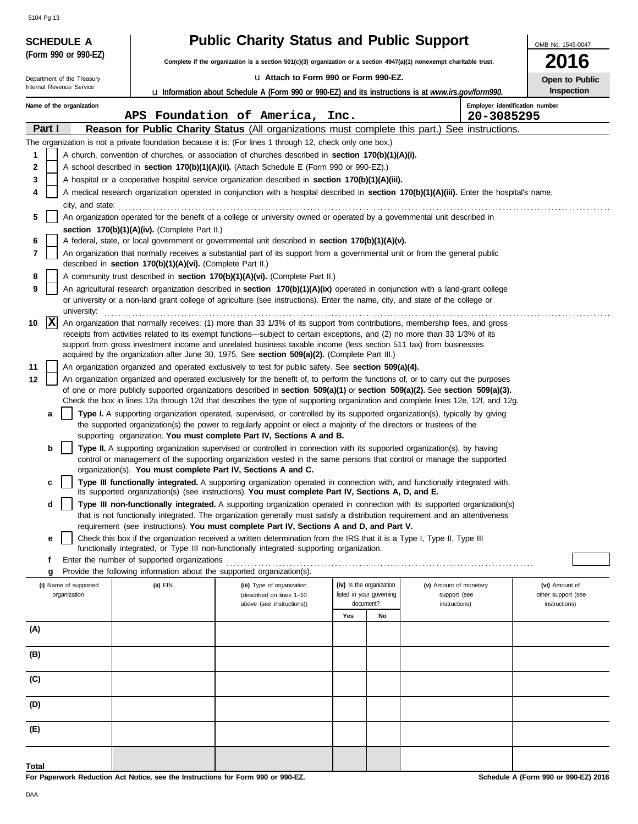| <b>Public Charity Status and Public Support</b>                                                                                                                                                                                                                                                  | OMB No. 1545-0047                    |  |  |  |  |  |  |  |  |  |  |
|--------------------------------------------------------------------------------------------------------------------------------------------------------------------------------------------------------------------------------------------------------------------------------------------------|--------------------------------------|--|--|--|--|--|--|--|--|--|--|
| (Form 990 or 990-EZ)<br>Complete if the organization is a section 501(c)(3) organization or a section 4947(a)(1) nonexempt charitable trust.                                                                                                                                                     | 016                                  |  |  |  |  |  |  |  |  |  |  |
| La Attach to Form 990 or Form 990-EZ.<br>Department of the Treasury                                                                                                                                                                                                                              | Open to Public                       |  |  |  |  |  |  |  |  |  |  |
| Internal Revenue Service<br><b>u</b> Information about Schedule A (Form 990 or 990-EZ) and its instructions is at www.irs.gov/form990.                                                                                                                                                           | Inspection                           |  |  |  |  |  |  |  |  |  |  |
| Employer identification number<br>Name of the organization                                                                                                                                                                                                                                       |                                      |  |  |  |  |  |  |  |  |  |  |
| APS Foundation of America, Inc.<br>20-3085295<br>Part I<br>Reason for Public Charity Status (All organizations must complete this part.) See instructions.                                                                                                                                       |                                      |  |  |  |  |  |  |  |  |  |  |
| The organization is not a private foundation because it is: (For lines 1 through 12, check only one box.)                                                                                                                                                                                        |                                      |  |  |  |  |  |  |  |  |  |  |
| A church, convention of churches, or association of churches described in section 170(b)(1)(A)(i).<br>1                                                                                                                                                                                          |                                      |  |  |  |  |  |  |  |  |  |  |
| 2<br>A school described in <b>section 170(b)(1)(A)(ii).</b> (Attach Schedule E (Form 990 or 990-EZ).)                                                                                                                                                                                            |                                      |  |  |  |  |  |  |  |  |  |  |
| 3<br>A hospital or a cooperative hospital service organization described in section 170(b)(1)(A)(iii).                                                                                                                                                                                           |                                      |  |  |  |  |  |  |  |  |  |  |
| A medical research organization operated in conjunction with a hospital described in section 170(b)(1)(A)(iii). Enter the hospital's name,<br>4                                                                                                                                                  |                                      |  |  |  |  |  |  |  |  |  |  |
| city, and state:<br>An organization operated for the benefit of a college or university owned or operated by a governmental unit described in<br>5                                                                                                                                               |                                      |  |  |  |  |  |  |  |  |  |  |
| section 170(b)(1)(A)(iv). (Complete Part II.)                                                                                                                                                                                                                                                    |                                      |  |  |  |  |  |  |  |  |  |  |
| 6<br>A federal, state, or local government or governmental unit described in <b>section 170(b)(1)(A)(v).</b>                                                                                                                                                                                     |                                      |  |  |  |  |  |  |  |  |  |  |
| 7<br>An organization that normally receives a substantial part of its support from a governmental unit or from the general public                                                                                                                                                                |                                      |  |  |  |  |  |  |  |  |  |  |
| described in section 170(b)(1)(A)(vi). (Complete Part II.)<br>8<br>A community trust described in section 170(b)(1)(A)(vi). (Complete Part II.)                                                                                                                                                  |                                      |  |  |  |  |  |  |  |  |  |  |
| 9<br>An agricultural research organization described in section 170(b)(1)(A)(ix) operated in conjunction with a land-grant college                                                                                                                                                               |                                      |  |  |  |  |  |  |  |  |  |  |
| or university or a non-land grant college of agriculture (see instructions). Enter the name, city, and state of the college or<br>university:                                                                                                                                                    |                                      |  |  |  |  |  |  |  |  |  |  |
| $ {\bf x} $<br>10<br>An organization that normally receives: (1) more than 33 1/3% of its support from contributions, membership fees, and gross                                                                                                                                                 |                                      |  |  |  |  |  |  |  |  |  |  |
| receipts from activities related to its exempt functions—subject to certain exceptions, and (2) no more than 33 1/3% of its<br>support from gross investment income and unrelated business taxable income (less section 511 tax) from businesses                                                 |                                      |  |  |  |  |  |  |  |  |  |  |
| acquired by the organization after June 30, 1975. See section 509(a)(2). (Complete Part III.)                                                                                                                                                                                                    |                                      |  |  |  |  |  |  |  |  |  |  |
| 11<br>An organization organized and operated exclusively to test for public safety. See section 509(a)(4).                                                                                                                                                                                       |                                      |  |  |  |  |  |  |  |  |  |  |
| 12<br>An organization organized and operated exclusively for the benefit of, to perform the functions of, or to carry out the purposes<br>of one or more publicly supported organizations described in section $509(a)(1)$ or section $509(a)(2)$ . See section $509(a)(3)$ .                    |                                      |  |  |  |  |  |  |  |  |  |  |
| Check the box in lines 12a through 12d that describes the type of supporting organization and complete lines 12e, 12f, and 12g.                                                                                                                                                                  |                                      |  |  |  |  |  |  |  |  |  |  |
| <b>Type I.</b> A supporting organization operated, supervised, or controlled by its supported organization(s), typically by giving<br>a<br>the supported organization(s) the power to regularly appoint or elect a majority of the directors or trustees of the                                  |                                      |  |  |  |  |  |  |  |  |  |  |
| supporting organization. You must complete Part IV, Sections A and B.<br>Type II. A supporting organization supervised or controlled in connection with its supported organization(s), by having<br>b                                                                                            |                                      |  |  |  |  |  |  |  |  |  |  |
| control or management of the supporting organization vested in the same persons that control or manage the supported                                                                                                                                                                             |                                      |  |  |  |  |  |  |  |  |  |  |
| organization(s). You must complete Part IV, Sections A and C.                                                                                                                                                                                                                                    |                                      |  |  |  |  |  |  |  |  |  |  |
| Type III functionally integrated. A supporting organization operated in connection with, and functionally integrated with,<br>c<br>its supported organization(s) (see instructions). You must complete Part IV, Sections A, D, and E.                                                            |                                      |  |  |  |  |  |  |  |  |  |  |
| Type III non-functionally integrated. A supporting organization operated in connection with its supported organization(s)<br>d                                                                                                                                                                   |                                      |  |  |  |  |  |  |  |  |  |  |
| that is not functionally integrated. The organization generally must satisfy a distribution requirement and an attentiveness                                                                                                                                                                     |                                      |  |  |  |  |  |  |  |  |  |  |
| requirement (see instructions). You must complete Part IV, Sections A and D, and Part V.<br>Check this box if the organization received a written determination from the IRS that it is a Type I, Type II, Type III<br>е                                                                         |                                      |  |  |  |  |  |  |  |  |  |  |
| functionally integrated, or Type III non-functionally integrated supporting organization.                                                                                                                                                                                                        |                                      |  |  |  |  |  |  |  |  |  |  |
| Enter the number of supported organizations<br>f                                                                                                                                                                                                                                                 |                                      |  |  |  |  |  |  |  |  |  |  |
| Provide the following information about the supported organization(s).<br>g<br>(iv) Is the organization<br>(i) Name of supported<br>$(ii)$ $EIN$<br>(v) Amount of monetary<br>(iii) Type of organization<br>listed in your governing<br>organization<br>support (see<br>(described on lines 1-10 | (vi) Amount of<br>other support (see |  |  |  |  |  |  |  |  |  |  |
| document?<br>above (see instructions))<br>instructions)                                                                                                                                                                                                                                          | instructions)                        |  |  |  |  |  |  |  |  |  |  |
| Yes<br>No                                                                                                                                                                                                                                                                                        |                                      |  |  |  |  |  |  |  |  |  |  |
| (A)                                                                                                                                                                                                                                                                                              |                                      |  |  |  |  |  |  |  |  |  |  |
| (B)                                                                                                                                                                                                                                                                                              |                                      |  |  |  |  |  |  |  |  |  |  |
| (C)                                                                                                                                                                                                                                                                                              |                                      |  |  |  |  |  |  |  |  |  |  |
| (D)                                                                                                                                                                                                                                                                                              |                                      |  |  |  |  |  |  |  |  |  |  |
| (E)                                                                                                                                                                                                                                                                                              |                                      |  |  |  |  |  |  |  |  |  |  |
| Total                                                                                                                                                                                                                                                                                            |                                      |  |  |  |  |  |  |  |  |  |  |

**Schedule A (Form 990 or 990-EZ) 2016**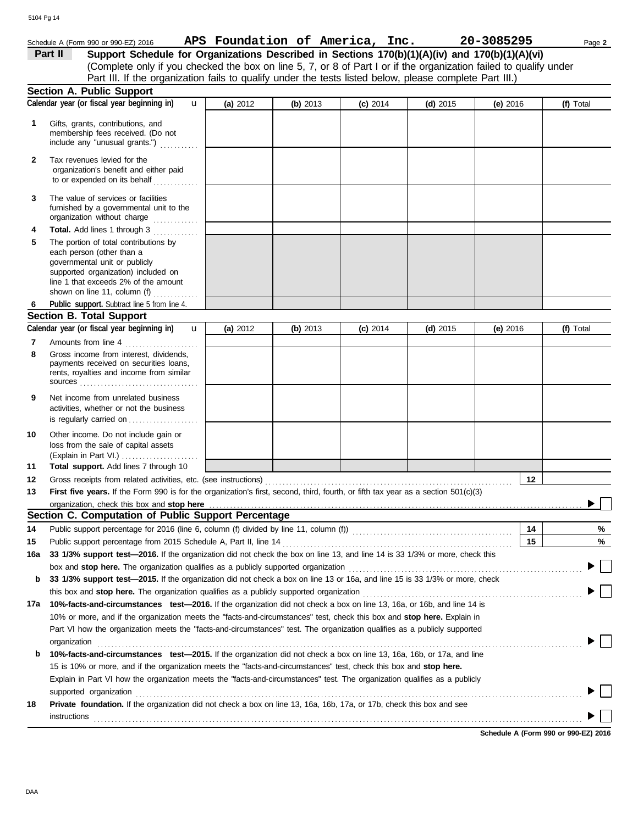# Schedule A (Form 990 or 990-EZ) 2016 Page **2 APS Foundation of America, Inc. 20-3085295**

(Complete only if you checked the box on line 5, 7, or 8 of Part I or if the organization failed to qualify under Part II Support Schedule for Organizations Described in Sections 170(b)(1)(A)(iv) and 170(b)(1)(A)(vi) Part III. If the organization fails to qualify under the tests listed below, please complete Part III.)

|     | <b>Section A. Public Support</b>                                                                                                                                                                                                                               |            |          |            |            |          |           |
|-----|----------------------------------------------------------------------------------------------------------------------------------------------------------------------------------------------------------------------------------------------------------------|------------|----------|------------|------------|----------|-----------|
|     | Calendar year (or fiscal year beginning in)<br>u                                                                                                                                                                                                               | (a) $2012$ | (b) 2013 | $(c)$ 2014 | $(d)$ 2015 | (e) 2016 | (f) Total |
| 1   | Gifts, grants, contributions, and<br>membership fees received. (Do not<br>include any "unusual grants.")                                                                                                                                                       |            |          |            |            |          |           |
| 2   | Tax revenues levied for the<br>organization's benefit and either paid<br>to or expended on its behalf                                                                                                                                                          |            |          |            |            |          |           |
| 3   | The value of services or facilities<br>furnished by a governmental unit to the<br>organization without charge                                                                                                                                                  |            |          |            |            |          |           |
| 4   | Total. Add lines 1 through 3<br>in a bha bha bha                                                                                                                                                                                                               |            |          |            |            |          |           |
| 5   | The portion of total contributions by<br>each person (other than a<br>governmental unit or publicly<br>supported organization) included on<br>line 1 that exceeds 2% of the amount<br>shown on line 11, column (f) $\ldots$                                    |            |          |            |            |          |           |
| 6   | Public support. Subtract line 5 from line 4.                                                                                                                                                                                                                   |            |          |            |            |          |           |
|     | <b>Section B. Total Support</b>                                                                                                                                                                                                                                |            |          |            |            |          |           |
|     | Calendar year (or fiscal year beginning in)<br>$\mathbf{u}$                                                                                                                                                                                                    | (a) 2012   | (b) 2013 | $(c)$ 2014 | $(d)$ 2015 | (e) 2016 | (f) Total |
| 7   | Amounts from line 4<br>.                                                                                                                                                                                                                                       |            |          |            |            |          |           |
| 8   | Gross income from interest, dividends,<br>payments received on securities loans,<br>rents, royalties and income from similar<br>$sources$                                                                                                                      |            |          |            |            |          |           |
| 9   | Net income from unrelated business<br>activities, whether or not the business<br>is regularly carried on                                                                                                                                                       |            |          |            |            |          |           |
| 10  | Other income. Do not include gain or<br>loss from the sale of capital assets                                                                                                                                                                                   |            |          |            |            |          |           |
|     | (Explain in Part VI.)                                                                                                                                                                                                                                          |            |          |            |            |          |           |
| 11  | Total support. Add lines 7 through 10                                                                                                                                                                                                                          |            |          |            |            |          |           |
| 12  | Gross receipts from related activities, etc. (see instructions)                                                                                                                                                                                                |            |          |            |            | 12       |           |
| 13  | First five years. If the Form 990 is for the organization's first, second, third, fourth, or fifth tax year as a section 501(c)(3)<br>organization, check this box and stop here                                                                               |            |          |            |            |          |           |
|     | Section C. Computation of Public Support Percentage                                                                                                                                                                                                            |            |          |            |            |          |           |
| 14  |                                                                                                                                                                                                                                                                |            |          |            |            | 14       | %         |
| 15  |                                                                                                                                                                                                                                                                |            |          |            |            | 15       | %         |
| 16a | 33 1/3% support test-2016. If the organization did not check the box on line 13, and line 14 is 33 1/3% or more, check this                                                                                                                                    |            |          |            |            |          |           |
|     | box and stop here. The organization qualifies as a publicly supported organization                                                                                                                                                                             |            |          |            |            |          |           |
| b   | 33 1/3% support test-2015. If the organization did not check a box on line 13 or 16a, and line 15 is 33 1/3% or more, check                                                                                                                                    |            |          |            |            |          |           |
|     |                                                                                                                                                                                                                                                                |            |          |            |            |          |           |
| 17a | 10%-facts-and-circumstances test-2016. If the organization did not check a box on line 13, 16a, or 16b, and line 14 is                                                                                                                                         |            |          |            |            |          |           |
|     | 10% or more, and if the organization meets the "facts-and-circumstances" test, check this box and stop here. Explain in                                                                                                                                        |            |          |            |            |          |           |
|     | Part VI how the organization meets the "facts-and-circumstances" test. The organization qualifies as a publicly supported                                                                                                                                      |            |          |            |            |          |           |
|     | organization                                                                                                                                                                                                                                                   |            |          |            |            |          |           |
|     | 10%-facts-and-circumstances test-2015. If the organization did not check a box on line 13, 16a, 16b, or 17a, and line                                                                                                                                          |            |          |            |            |          |           |
| b   | 15 is 10% or more, and if the organization meets the "facts-and-circumstances" test, check this box and stop here.                                                                                                                                             |            |          |            |            |          |           |
|     | Explain in Part VI how the organization meets the "facts-and-circumstances" test. The organization qualifies as a publicly                                                                                                                                     |            |          |            |            |          |           |
|     |                                                                                                                                                                                                                                                                |            |          |            |            |          |           |
| 18  | supported organization contains and contains a supported organization of the supported organization contains a supported organization<br>Private foundation. If the organization did not check a box on line 13, 16a, 16b, 17a, or 17b, check this box and see |            |          |            |            |          |           |
|     | instructions                                                                                                                                                                                                                                                   |            |          |            |            |          |           |
|     |                                                                                                                                                                                                                                                                |            |          |            |            |          |           |

**Schedule A (Form 990 or 990-EZ) 2016**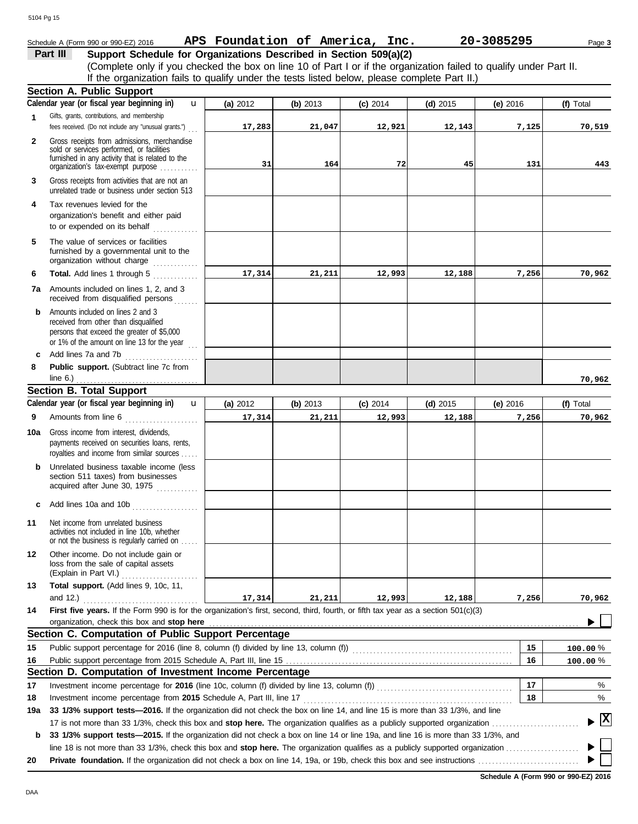# Schedule A (Form 990 or 990-EZ) 2016 Page **3 APS Foundation of America, Inc. 20-3085295**

## **Part III Support Schedule for Organizations Described in Section 509(a)(2)**

(Complete only if you checked the box on line 10 of Part I or if the organization failed to qualify under Part II. If the organization fails to qualify under the tests listed below, please complete Part II.)

|             | <b>Section A. Public Support</b>                                                                                                                                                  |          |          |            |            |            |              |
|-------------|-----------------------------------------------------------------------------------------------------------------------------------------------------------------------------------|----------|----------|------------|------------|------------|--------------|
|             | Calendar year (or fiscal year beginning in)<br>u                                                                                                                                  | (a) 2012 | (b) 2013 | $(c)$ 2014 | $(d)$ 2015 | $(e)$ 2016 | (f) Total    |
| $\mathbf 1$ | Gifts, grants, contributions, and membership<br>fees received. (Do not include any "unusual grants.")                                                                             | 17,283   | 21,047   | 12,921     | 12, 143    | 7,125      | 70,519       |
| 2           | Gross receipts from admissions, merchandise<br>sold or services performed, or facilities<br>furnished in any activity that is related to the<br>organization's tax-exempt purpose | 31       | 164      | 72         | 45         | 131        | 443          |
| 3           | Gross receipts from activities that are not an<br>unrelated trade or business under section 513                                                                                   |          |          |            |            |            |              |
| 4           | Tax revenues levied for the<br>organization's benefit and either paid<br>to or expended on its behalf<br>.                                                                        |          |          |            |            |            |              |
| 5           | The value of services or facilities<br>furnished by a governmental unit to the<br>organization without charge                                                                     |          |          |            |            |            |              |
| 6           | Total. Add lines 1 through 5                                                                                                                                                      | 17,314   | 21,211   | 12,993     | 12,188     | 7,256      | 70,962       |
| 7а          | Amounts included on lines 1, 2, and 3<br>received from disqualified persons                                                                                                       |          |          |            |            |            |              |
| b           | Amounts included on lines 2 and 3<br>received from other than disqualified<br>persons that exceed the greater of \$5,000<br>or 1% of the amount on line 13 for the year $\ldots$  |          |          |            |            |            |              |
| c           | Add lines 7a and 7b                                                                                                                                                               |          |          |            |            |            |              |
| 8           | Public support. (Subtract line 7c from<br>line $6.$ )<br>.                                                                                                                        |          |          |            |            |            | 70,962       |
|             | <b>Section B. Total Support</b>                                                                                                                                                   |          |          |            |            |            |              |
|             | Calendar year (or fiscal year beginning in)<br>$\mathbf{u}$                                                                                                                       | (a) 2012 | (b) 2013 | $(c)$ 2014 | $(d)$ 2015 | $(e)$ 2016 | (f) Total    |
| 9           | Amounts from line 6                                                                                                                                                               | 17,314   | 21,211   | 12,993     | 12,188     | 7,256      | 70,962       |
| 10a         | Gross income from interest, dividends,<br>payments received on securities loans, rents,<br>royalties and income from similar sources                                              |          |          |            |            |            |              |
| b           | Unrelated business taxable income (less<br>section 511 taxes) from businesses<br>acquired after June 30, 1975                                                                     |          |          |            |            |            |              |
| C           | Add lines 10a and 10b                                                                                                                                                             |          |          |            |            |            |              |
| 11          | Net income from unrelated business<br>activities not included in line 10b, whether<br>or not the business is regularly carried on                                                 |          |          |            |            |            |              |
| 12          | Other income. Do not include gain or<br>loss from the sale of capital assets<br>(Explain in Part VI.)                                                                             |          |          |            |            |            |              |
| 13          | Total support. (Add lines 9, 10c, 11,                                                                                                                                             |          |          |            |            |            |              |
|             | and $12.$ )                                                                                                                                                                       | 17,314   | 21,211   | 12,993     | 12,188     | 7,256      | 70,962       |
| 14          | First five years. If the Form 990 is for the organization's first, second, third, fourth, or fifth tax year as a section 501(c)(3)                                                |          |          |            |            |            |              |
|             | organization, check this box and stop here                                                                                                                                        |          |          |            |            |            |              |
|             | Section C. Computation of Public Support Percentage                                                                                                                               |          |          |            |            |            |              |
| 15          |                                                                                                                                                                                   |          |          |            |            | 15         | 100.00%      |
| 16          | Section D. Computation of Investment Income Percentage                                                                                                                            |          |          |            |            | 16         | 100.00%      |
|             |                                                                                                                                                                                   |          |          |            |            | 17         |              |
| 17<br>18    | Investment income percentage from 2015 Schedule A, Part III, line 17                                                                                                              |          |          |            |            | 18         | %<br>%       |
| 19a         | 33 1/3% support tests-2016. If the organization did not check the box on line 14, and line 15 is more than 33 1/3%, and line                                                      |          |          |            |            |            |              |
|             |                                                                                                                                                                                   |          |          |            |            |            | $\mathbf{x}$ |
| b           | 33 1/3% support tests—2015. If the organization did not check a box on line 14 or line 19a, and line 16 is more than 33 1/3%, and                                                 |          |          |            |            |            |              |
|             |                                                                                                                                                                                   |          |          |            |            |            |              |
| 20          | <b>Private foundation.</b> If the organization did not check a box on line 14, 19a, or 19b, check this box and see instructions <i>communicary communication</i>                  |          |          |            |            |            |              |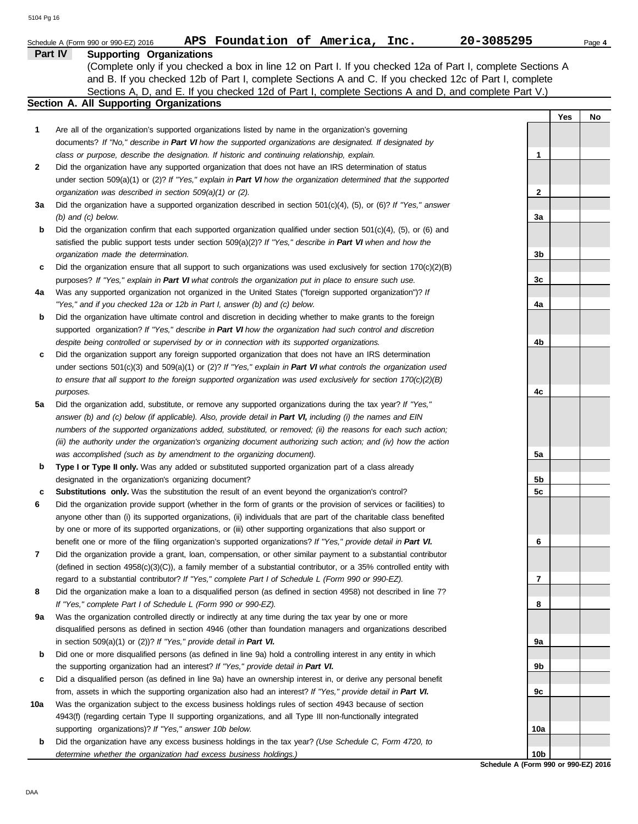|     | APS Foundation of America, Inc.<br>20-3085295<br>Schedule A (Form 990 or 990-EZ) 2016                                                                                                                                                                                                                                                                                       |                |     | Page 4 |
|-----|-----------------------------------------------------------------------------------------------------------------------------------------------------------------------------------------------------------------------------------------------------------------------------------------------------------------------------------------------------------------------------|----------------|-----|--------|
|     | Part IV<br><b>Supporting Organizations</b><br>(Complete only if you checked a box in line 12 on Part I. If you checked 12a of Part I, complete Sections A<br>and B. If you checked 12b of Part I, complete Sections A and C. If you checked 12c of Part I, complete<br>Sections A, D, and E. If you checked 12d of Part I, complete Sections A and D, and complete Part V.) |                |     |        |
|     | Section A. All Supporting Organizations                                                                                                                                                                                                                                                                                                                                     |                |     |        |
|     |                                                                                                                                                                                                                                                                                                                                                                             |                | Yes | No     |
| 1   | Are all of the organization's supported organizations listed by name in the organization's governing<br>documents? If "No," describe in Part VI how the supported organizations are designated. If designated by                                                                                                                                                            |                |     |        |
|     | class or purpose, describe the designation. If historic and continuing relationship, explain.                                                                                                                                                                                                                                                                               | 1              |     |        |
| 2   | Did the organization have any supported organization that does not have an IRS determination of status                                                                                                                                                                                                                                                                      |                |     |        |
|     | under section $509(a)(1)$ or (2)? If "Yes," explain in Part VI how the organization determined that the supported                                                                                                                                                                                                                                                           |                |     |        |
|     | organization was described in section 509(a)(1) or (2).                                                                                                                                                                                                                                                                                                                     | 2              |     |        |
| За  | Did the organization have a supported organization described in section 501(c)(4), (5), or (6)? If "Yes," answer<br>$(b)$ and $(c)$ below.                                                                                                                                                                                                                                  | 3a             |     |        |
| b   | Did the organization confirm that each supported organization qualified under section $501(c)(4)$ , (5), or (6) and                                                                                                                                                                                                                                                         |                |     |        |
|     | satisfied the public support tests under section $509(a)(2)?$ If "Yes," describe in Part VI when and how the                                                                                                                                                                                                                                                                |                |     |        |
|     | organization made the determination.                                                                                                                                                                                                                                                                                                                                        | 3b             |     |        |
| c   | Did the organization ensure that all support to such organizations was used exclusively for section $170(c)(2)(B)$                                                                                                                                                                                                                                                          |                |     |        |
|     | purposes? If "Yes," explain in Part VI what controls the organization put in place to ensure such use.                                                                                                                                                                                                                                                                      | 3c             |     |        |
| 4a  | Was any supported organization not organized in the United States ("foreign supported organization")? If                                                                                                                                                                                                                                                                    |                |     |        |
|     | "Yes," and if you checked 12a or 12b in Part I, answer (b) and (c) below.                                                                                                                                                                                                                                                                                                   | 4a             |     |        |
| b   | Did the organization have ultimate control and discretion in deciding whether to make grants to the foreign                                                                                                                                                                                                                                                                 |                |     |        |
|     | supported organization? If "Yes," describe in Part VI how the organization had such control and discretion                                                                                                                                                                                                                                                                  |                |     |        |
|     | despite being controlled or supervised by or in connection with its supported organizations.                                                                                                                                                                                                                                                                                | 4b             |     |        |
| c   | Did the organization support any foreign supported organization that does not have an IRS determination                                                                                                                                                                                                                                                                     |                |     |        |
|     | under sections $501(c)(3)$ and $509(a)(1)$ or $(2)$ ? If "Yes," explain in Part VI what controls the organization used                                                                                                                                                                                                                                                      |                |     |        |
|     | to ensure that all support to the foreign supported organization was used exclusively for section $170(c)(2)(B)$                                                                                                                                                                                                                                                            |                |     |        |
|     | purposes.                                                                                                                                                                                                                                                                                                                                                                   | 4c             |     |        |
| 5a  | Did the organization add, substitute, or remove any supported organizations during the tax year? If "Yes,"                                                                                                                                                                                                                                                                  |                |     |        |
|     | answer (b) and (c) below (if applicable). Also, provide detail in Part VI, including (i) the names and EIN                                                                                                                                                                                                                                                                  |                |     |        |
|     | numbers of the supported organizations added, substituted, or removed; (ii) the reasons for each such action;                                                                                                                                                                                                                                                               |                |     |        |
|     | (iii) the authority under the organization's organizing document authorizing such action; and (iv) how the action                                                                                                                                                                                                                                                           |                |     |        |
|     | was accomplished (such as by amendment to the organizing document).                                                                                                                                                                                                                                                                                                         | 5a             |     |        |
| b   | Type I or Type II only. Was any added or substituted supported organization part of a class already                                                                                                                                                                                                                                                                         |                |     |        |
|     | designated in the organization's organizing document?                                                                                                                                                                                                                                                                                                                       | 5b             |     |        |
| c   | Substitutions only. Was the substitution the result of an event beyond the organization's control?                                                                                                                                                                                                                                                                          | 5 <sub>c</sub> |     |        |
| 6   | Did the organization provide support (whether in the form of grants or the provision of services or facilities) to                                                                                                                                                                                                                                                          |                |     |        |
|     | anyone other than (i) its supported organizations, (ii) individuals that are part of the charitable class benefited                                                                                                                                                                                                                                                         |                |     |        |
|     | by one or more of its supported organizations, or (iii) other supporting organizations that also support or                                                                                                                                                                                                                                                                 |                |     |        |
| 7   | benefit one or more of the filing organization's supported organizations? If "Yes," provide detail in Part VI.                                                                                                                                                                                                                                                              | 6              |     |        |
|     | Did the organization provide a grant, loan, compensation, or other similar payment to a substantial contributor<br>(defined in section 4958(c)(3)(C)), a family member of a substantial contributor, or a 35% controlled entity with                                                                                                                                        |                |     |        |
|     | regard to a substantial contributor? If "Yes," complete Part I of Schedule L (Form 990 or 990-EZ).                                                                                                                                                                                                                                                                          | 7              |     |        |
| 8   | Did the organization make a loan to a disqualified person (as defined in section 4958) not described in line 7?                                                                                                                                                                                                                                                             |                |     |        |
|     | If "Yes," complete Part I of Schedule L (Form 990 or 990-EZ).                                                                                                                                                                                                                                                                                                               | 8              |     |        |
| 9а  | Was the organization controlled directly or indirectly at any time during the tax year by one or more                                                                                                                                                                                                                                                                       |                |     |        |
|     | disqualified persons as defined in section 4946 (other than foundation managers and organizations described                                                                                                                                                                                                                                                                 |                |     |        |
|     | in section $509(a)(1)$ or $(2)$ ? If "Yes," provide detail in Part VI.                                                                                                                                                                                                                                                                                                      | 9а             |     |        |
| b   | Did one or more disqualified persons (as defined in line 9a) hold a controlling interest in any entity in which                                                                                                                                                                                                                                                             |                |     |        |
|     | the supporting organization had an interest? If "Yes," provide detail in Part VI.                                                                                                                                                                                                                                                                                           | 9b             |     |        |
| c   | Did a disqualified person (as defined in line 9a) have an ownership interest in, or derive any personal benefit                                                                                                                                                                                                                                                             |                |     |        |
|     | from, assets in which the supporting organization also had an interest? If "Yes," provide detail in Part VI.                                                                                                                                                                                                                                                                | 9с             |     |        |
| 10a | Was the organization subject to the excess business holdings rules of section 4943 because of section                                                                                                                                                                                                                                                                       |                |     |        |
|     | 4943(f) (regarding certain Type II supporting organizations, and all Type III non-functionally integrated                                                                                                                                                                                                                                                                   |                |     |        |
|     | supporting organizations)? If "Yes," answer 10b below.                                                                                                                                                                                                                                                                                                                      | 10a            |     |        |
| b   | Did the organization have any excess business holdings in the tax year? (Use Schedule C, Form 4720, to                                                                                                                                                                                                                                                                      |                |     |        |
|     | determine whether the organization had excess business holdings.)                                                                                                                                                                                                                                                                                                           | 10b            |     |        |

**Schedule A (Form 990 or 990-EZ) 2016**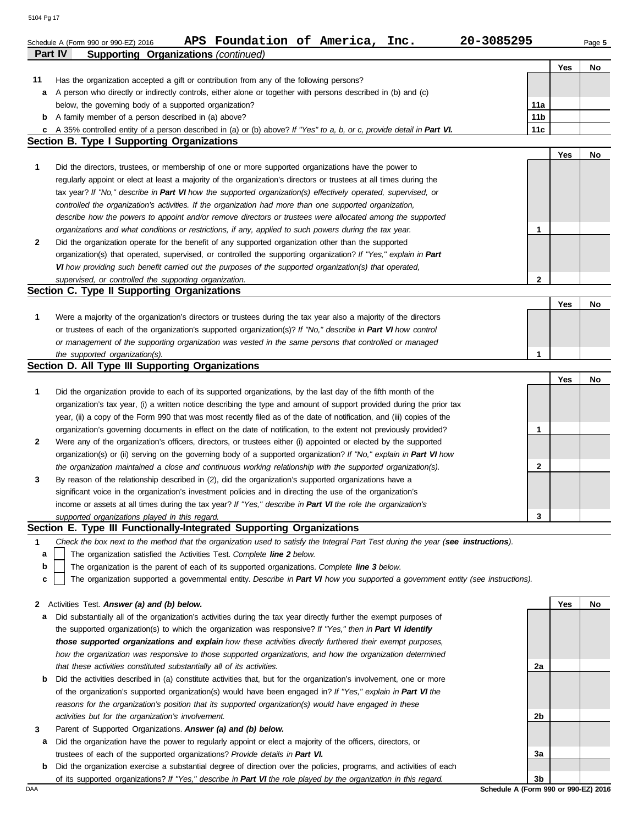| <b>Part IV</b> | Foundation of America, Inc.<br>20-3085295<br>APS<br>Schedule A (Form 990 or 990-EZ) 2016<br><b>Supporting Organizations (continued)</b>                                    |                 |     | Page 5 |
|----------------|----------------------------------------------------------------------------------------------------------------------------------------------------------------------------|-----------------|-----|--------|
|                |                                                                                                                                                                            |                 | Yes | No     |
| 11             | Has the organization accepted a gift or contribution from any of the following persons?                                                                                    |                 |     |        |
| а              | A person who directly or indirectly controls, either alone or together with persons described in (b) and (c)                                                               |                 |     |        |
|                | below, the governing body of a supported organization?                                                                                                                     | 11a             |     |        |
| b              | A family member of a person described in (a) above?                                                                                                                        | 11 <sub>b</sub> |     |        |
| c              | A 35% controlled entity of a person described in (a) or (b) above? If "Yes" to a, b, or c, provide detail in Part VI.<br><b>Section B. Type I Supporting Organizations</b> | 11c             |     |        |
|                |                                                                                                                                                                            |                 | Yes | No     |
| 1              | Did the directors, trustees, or membership of one or more supported organizations have the power to                                                                        |                 |     |        |
|                | regularly appoint or elect at least a majority of the organization's directors or trustees at all times during the                                                         |                 |     |        |
|                | tax year? If "No," describe in Part VI how the supported organization(s) effectively operated, supervised, or                                                              |                 |     |        |
|                | controlled the organization's activities. If the organization had more than one supported organization,                                                                    |                 |     |        |
|                | describe how the powers to appoint and/or remove directors or trustees were allocated among the supported                                                                  |                 |     |        |
|                | organizations and what conditions or restrictions, if any, applied to such powers during the tax year.                                                                     | 1               |     |        |
| $\mathbf{2}$   | Did the organization operate for the benefit of any supported organization other than the supported                                                                        |                 |     |        |
|                | organization(s) that operated, supervised, or controlled the supporting organization? If "Yes," explain in Part                                                            |                 |     |        |
|                | VI how providing such benefit carried out the purposes of the supported organization(s) that operated,                                                                     |                 |     |        |
|                | supervised, or controlled the supporting organization.                                                                                                                     | 2               |     |        |
|                | Section C. Type II Supporting Organizations                                                                                                                                |                 |     |        |
|                |                                                                                                                                                                            |                 | Yes | No     |
| 1              | Were a majority of the organization's directors or trustees during the tax year also a majority of the directors                                                           |                 |     |        |
|                | or trustees of each of the organization's supported organization(s)? If "No," describe in Part VI how control                                                              |                 |     |        |
|                | or management of the supporting organization was vested in the same persons that controlled or managed                                                                     |                 |     |        |
|                | the supported organization(s).<br>Section D. All Type III Supporting Organizations                                                                                         | 1               |     |        |
|                |                                                                                                                                                                            |                 | Yes | No     |
| 1              | Did the organization provide to each of its supported organizations, by the last day of the fifth month of the                                                             |                 |     |        |
|                | organization's tax year, (i) a written notice describing the type and amount of support provided during the prior tax                                                      |                 |     |        |
|                | year, (ii) a copy of the Form 990 that was most recently filed as of the date of notification, and (iii) copies of the                                                     |                 |     |        |
|                | organization's governing documents in effect on the date of notification, to the extent not previously provided?                                                           | 1               |     |        |
| $\mathbf{2}$   | Were any of the organization's officers, directors, or trustees either (i) appointed or elected by the supported                                                           |                 |     |        |
|                | organization(s) or (ii) serving on the governing body of a supported organization? If "No," explain in Part VI how                                                         |                 |     |        |
|                | the organization maintained a close and continuous working relationship with the supported organization(s).                                                                | 2               |     |        |
| 3              | By reason of the relationship described in (2), did the organization's supported organizations have a                                                                      |                 |     |        |
|                | significant voice in the organization's investment policies and in directing the use of the organization's                                                                 |                 |     |        |
|                | income or assets at all times during the tax year? If "Yes," describe in Part VI the role the organization's                                                               |                 |     |        |
|                | supported organizations played in this regard.                                                                                                                             | 3               |     |        |
|                | Section E. Type III Functionally-Integrated Supporting Organizations                                                                                                       |                 |     |        |
| 1              | Check the box next to the method that the organization used to satisfy the Integral Part Test during the year (see instructions).                                          |                 |     |        |
| a              | The organization satisfied the Activities Test. Complete line 2 below.                                                                                                     |                 |     |        |
| b              | The organization is the parent of each of its supported organizations. Complete line 3 below.                                                                              |                 |     |        |
| с              | The organization supported a governmental entity. Describe in Part VI how you supported a government entity (see instructions).                                            |                 |     |        |
|                |                                                                                                                                                                            |                 |     |        |
| 2              | Activities Test. Answer (a) and (b) below.<br>Did substantially all of the organization's activities during the tax year directly further the exempt purposes of           |                 | Yes | No     |
| а              | the supported organization(s) to which the organization was responsive? If "Yes," then in Part VI identify                                                                 |                 |     |        |
|                | those supported organizations and explain how these activities directly furthered their exempt purposes,                                                                   |                 |     |        |
|                | how the organization was responsive to those supported organizations, and how the organization determined                                                                  |                 |     |        |
|                | that these activities constituted substantially all of its activities.                                                                                                     |                 |     |        |
| b              | Did the activities described in (a) constitute activities that, but for the organization's involvement, one or more                                                        | 2a              |     |        |
|                | of the organization's supported organization(s) would have been engaged in? If "Yes," explain in Part VI the                                                               |                 |     |        |
|                | reasons for the organization's position that its supported organization(s) would have engaged in these                                                                     |                 |     |        |
|                | activities but for the organization's involvement.                                                                                                                         | 2b              |     |        |
| 3              | Parent of Supported Organizations. Answer (a) and (b) below.                                                                                                               |                 |     |        |
| а              | Did the organization have the power to regularly appoint or elect a majority of the officers, directors, or                                                                |                 |     |        |
|                | trustees of each of the supported organizations? Provide details in Part VI.                                                                                               | 3a              |     |        |
|                |                                                                                                                                                                            |                 |     |        |

| <b>b</b> Did the organization exercise a substantial degree of direction over the policies, programs, and activities of each |
|------------------------------------------------------------------------------------------------------------------------------|
| of its supported organizations? If "Yes," describe in Part VI the role played by the organization in this regard.            |

DAA **Schedule A (Form 990 or 990-EZ) 2016 3b**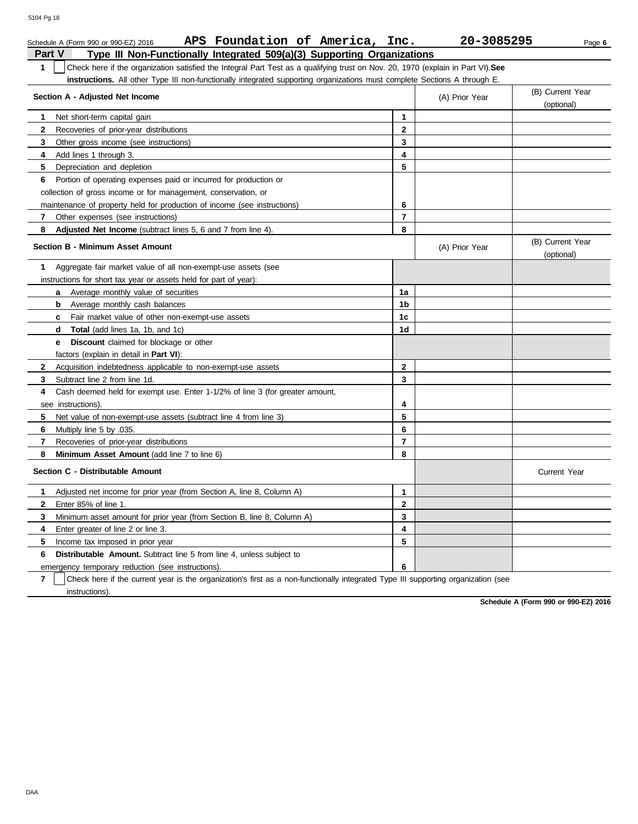| APS Foundation of America, Inc.<br>Schedule A (Form 990 or 990-EZ) 2016                                                                          |                         | 20-3085295       | Page 6                         |
|--------------------------------------------------------------------------------------------------------------------------------------------------|-------------------------|------------------|--------------------------------|
| <b>Part V</b><br>Type III Non-Functionally Integrated 509(a)(3) Supporting Organizations                                                         |                         |                  |                                |
| $\mathbf{1}$<br>Check here if the organization satisfied the Integral Part Test as a qualifying trust on Nov. 20, 1970 (explain in Part VI). See |                         |                  |                                |
| instructions. All other Type III non-functionally integrated supporting organizations must complete Sections A through E.                        |                         |                  |                                |
| Section A - Adjusted Net Income                                                                                                                  | (A) Prior Year          | (B) Current Year |                                |
|                                                                                                                                                  |                         |                  | (optional)                     |
| 1<br>Net short-term capital gain                                                                                                                 | 1                       |                  |                                |
| 2<br>Recoveries of prior-year distributions                                                                                                      | $\mathbf{2}$            |                  |                                |
| Other gross income (see instructions)<br>3                                                                                                       | 3                       |                  |                                |
| 4<br>Add lines 1 through 3.                                                                                                                      | 4                       |                  |                                |
| 5<br>Depreciation and depletion                                                                                                                  | 5                       |                  |                                |
| 6<br>Portion of operating expenses paid or incurred for production or                                                                            |                         |                  |                                |
| collection of gross income or for management, conservation, or                                                                                   |                         |                  |                                |
| maintenance of property held for production of income (see instructions)                                                                         | 6                       |                  |                                |
| 7<br>Other expenses (see instructions)                                                                                                           | $\overline{7}$          |                  |                                |
| Adjusted Net Income (subtract lines 5, 6 and 7 from line 4).<br>8                                                                                | 8                       |                  |                                |
| <b>Section B - Minimum Asset Amount</b>                                                                                                          |                         | (A) Prior Year   | (B) Current Year<br>(optional) |
| Aggregate fair market value of all non-exempt-use assets (see<br>1                                                                               |                         |                  |                                |
| instructions for short tax year or assets held for part of year):                                                                                |                         |                  |                                |
| Average monthly value of securities<br>a                                                                                                         | 1a                      |                  |                                |
| b<br>Average monthly cash balances                                                                                                               | 1b                      |                  |                                |
| Fair market value of other non-exempt-use assets<br>c.                                                                                           | 1c                      |                  |                                |
| <b>d</b> Total (add lines 1a, 1b, and 1c)                                                                                                        | 1d                      |                  |                                |
| Discount claimed for blockage or other<br>е                                                                                                      |                         |                  |                                |
| factors (explain in detail in <b>Part VI)</b> :                                                                                                  |                         |                  |                                |
| Acquisition indebtedness applicable to non-exempt-use assets<br>$\mathbf{2}$                                                                     | $\overline{2}$          |                  |                                |
| 3<br>Subtract line 2 from line 1d.                                                                                                               | 3                       |                  |                                |
| Cash deemed held for exempt use. Enter 1-1/2% of line 3 (for greater amount,<br>4                                                                |                         |                  |                                |
| see instructions).                                                                                                                               | 4                       |                  |                                |
| 5<br>Net value of non-exempt-use assets (subtract line 4 from line 3)                                                                            | 5                       |                  |                                |
| 6<br>Multiply line 5 by .035.                                                                                                                    | 6                       |                  |                                |
| 7<br>Recoveries of prior-year distributions                                                                                                      | $\overline{\mathbf{r}}$ |                  |                                |
| 8<br>Minimum Asset Amount (add line 7 to line 6)                                                                                                 | 8                       |                  |                                |
| Section C - Distributable Amount                                                                                                                 |                         |                  | <b>Current Year</b>            |
| Adjusted net income for prior year (from Section A, line 8, Column A)<br>1                                                                       | 1                       |                  |                                |
| Enter 85% of line 1.<br>2                                                                                                                        | 2                       |                  |                                |
| 3<br>Minimum asset amount for prior year (from Section B, line 8, Column A)                                                                      | 3                       |                  |                                |
| Enter greater of line 2 or line 3.<br>4                                                                                                          | 4                       |                  |                                |
| 5<br>Income tax imposed in prior year                                                                                                            | 5                       |                  |                                |
| 6<br><b>Distributable Amount.</b> Subtract line 5 from line 4, unless subject to                                                                 |                         |                  |                                |
| emergency temporary reduction (see instructions).                                                                                                | 6                       |                  |                                |

**7** | Check here if the current year is the organization's first as a non-functionally integrated Type III supporting organization (see instructions).

**Schedule A (Form 990 or 990-EZ) 2016**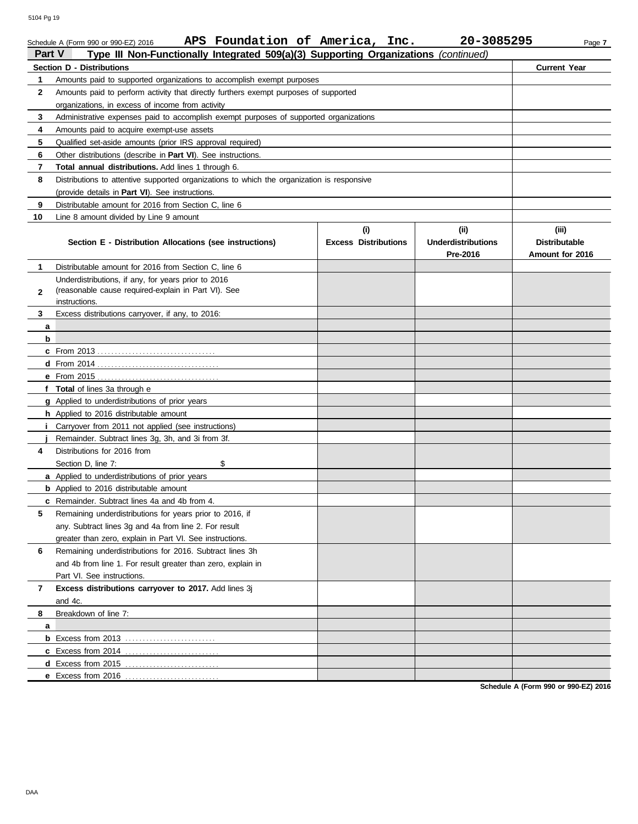|               | APS Foundation of America, Inc.<br>Schedule A (Form 990 or 990-EZ) 2016                    |                             | 20-3085295                | Page 7               |
|---------------|--------------------------------------------------------------------------------------------|-----------------------------|---------------------------|----------------------|
| <b>Part V</b> | Type III Non-Functionally Integrated 509(a)(3) Supporting Organizations (continued)        |                             |                           |                      |
|               | Section D - Distributions                                                                  |                             |                           | <b>Current Year</b>  |
| 1             | Amounts paid to supported organizations to accomplish exempt purposes                      |                             |                           |                      |
| $\mathbf{2}$  | Amounts paid to perform activity that directly furthers exempt purposes of supported       |                             |                           |                      |
|               | organizations, in excess of income from activity                                           |                             |                           |                      |
| 3             | Administrative expenses paid to accomplish exempt purposes of supported organizations      |                             |                           |                      |
| 4             | Amounts paid to acquire exempt-use assets                                                  |                             |                           |                      |
| 5             | Qualified set-aside amounts (prior IRS approval required)                                  |                             |                           |                      |
| 6             | Other distributions (describe in <b>Part VI</b> ). See instructions.                       |                             |                           |                      |
| 7             | Total annual distributions. Add lines 1 through 6.                                         |                             |                           |                      |
| 8             | Distributions to attentive supported organizations to which the organization is responsive |                             |                           |                      |
|               | (provide details in Part VI). See instructions.                                            |                             |                           |                      |
| 9             | Distributable amount for 2016 from Section C, line 6                                       |                             |                           |                      |
| 10            | Line 8 amount divided by Line 9 amount                                                     |                             |                           |                      |
|               |                                                                                            | (i)                         | (ii)                      | (iii)                |
|               | Section E - Distribution Allocations (see instructions)                                    | <b>Excess Distributions</b> | <b>Underdistributions</b> | <b>Distributable</b> |
|               |                                                                                            |                             | Pre-2016                  | Amount for 2016      |
| 1             | Distributable amount for 2016 from Section C, line 6                                       |                             |                           |                      |
|               | Underdistributions, if any, for years prior to 2016                                        |                             |                           |                      |
| $\mathbf{2}$  | (reasonable cause required-explain in Part VI). See<br>instructions.                       |                             |                           |                      |
| 3             | Excess distributions carryover, if any, to 2016:                                           |                             |                           |                      |
| a             |                                                                                            |                             |                           |                      |
| b             |                                                                                            |                             |                           |                      |
|               |                                                                                            |                             |                           |                      |
|               |                                                                                            |                             |                           |                      |
|               |                                                                                            |                             |                           |                      |
|               | f Total of lines 3a through e                                                              |                             |                           |                      |
|               | g Applied to underdistributions of prior years                                             |                             |                           |                      |
|               | h Applied to 2016 distributable amount                                                     |                             |                           |                      |
| İ.            | Carryover from 2011 not applied (see instructions)                                         |                             |                           |                      |
|               | Remainder. Subtract lines 3g, 3h, and 3i from 3f.                                          |                             |                           |                      |
| 4             | Distributions for 2016 from                                                                |                             |                           |                      |
|               | \$<br>Section D, line 7:                                                                   |                             |                           |                      |
|               | <b>a</b> Applied to underdistributions of prior years                                      |                             |                           |                      |
|               | <b>b</b> Applied to 2016 distributable amount                                              |                             |                           |                      |
|               | <b>c</b> Remainder. Subtract lines 4a and 4b from 4.                                       |                             |                           |                      |
| 5             | Remaining underdistributions for years prior to 2016, if                                   |                             |                           |                      |
|               | any. Subtract lines 3q and 4a from line 2. For result                                      |                             |                           |                      |
|               | greater than zero, explain in Part VI. See instructions.                                   |                             |                           |                      |
| 6             | Remaining underdistributions for 2016. Subtract lines 3h                                   |                             |                           |                      |
|               | and 4b from line 1. For result greater than zero, explain in                               |                             |                           |                      |
|               | Part VI. See instructions.                                                                 |                             |                           |                      |
| 7             | Excess distributions carryover to 2017. Add lines 3j                                       |                             |                           |                      |
|               | and 4c.                                                                                    |                             |                           |                      |
| 8             | Breakdown of line 7:                                                                       |                             |                           |                      |
| a             |                                                                                            |                             |                           |                      |
|               |                                                                                            |                             |                           |                      |
|               | c Excess from 2014                                                                         |                             |                           |                      |
|               | d Excess from 2015                                                                         |                             |                           |                      |
|               | e Excess from 2016                                                                         |                             |                           |                      |

**Schedule A (Form 990 or 990-EZ) 2016**

**e** Excess from 2016 . . . . . . . . . . . . . . . . . . . . . . . . . . .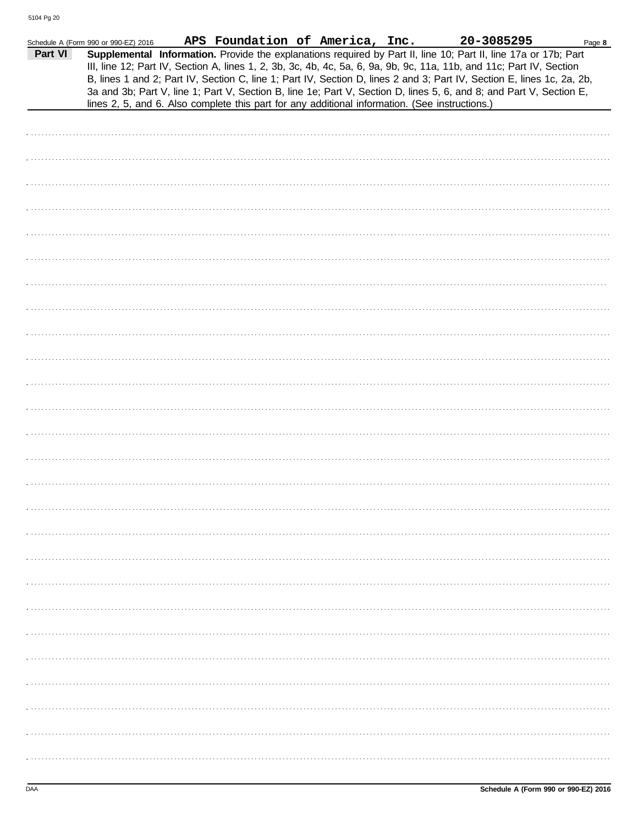| Part VI | Schedule A (Form 990 or 990-EZ) 2016<br>Supplemental Information. Provide the explanations required by Part II, line 10; Part II, line 17a or 17b; Part<br>III, line 12; Part IV, Section A, lines 1, 2, 3b, 3c, 4b, 4c, 5a, 6, 9a, 9b, 9c, 11a, 11b, and 11c; Part IV, Section<br>B, lines 1 and 2; Part IV, Section C, line 1; Part IV, Section D, lines 2 and 3; Part IV, Section E, lines 1c, 2a, 2b,<br>3a and 3b; Part V, line 1; Part V, Section B, line 1e; Part V, Section D, lines 5, 6, and 8; and Part V, Section E,<br>lines 2, 5, and 6. Also complete this part for any additional information. (See instructions.) |  | APS Foundation of America, Inc. | 20-3085295 | Page 8 |
|---------|------------------------------------------------------------------------------------------------------------------------------------------------------------------------------------------------------------------------------------------------------------------------------------------------------------------------------------------------------------------------------------------------------------------------------------------------------------------------------------------------------------------------------------------------------------------------------------------------------------------------------------|--|---------------------------------|------------|--------|
|         |                                                                                                                                                                                                                                                                                                                                                                                                                                                                                                                                                                                                                                    |  |                                 |            |        |
|         |                                                                                                                                                                                                                                                                                                                                                                                                                                                                                                                                                                                                                                    |  |                                 |            |        |
|         |                                                                                                                                                                                                                                                                                                                                                                                                                                                                                                                                                                                                                                    |  |                                 |            |        |
|         |                                                                                                                                                                                                                                                                                                                                                                                                                                                                                                                                                                                                                                    |  |                                 |            |        |
|         |                                                                                                                                                                                                                                                                                                                                                                                                                                                                                                                                                                                                                                    |  |                                 |            |        |
|         |                                                                                                                                                                                                                                                                                                                                                                                                                                                                                                                                                                                                                                    |  |                                 |            |        |
|         |                                                                                                                                                                                                                                                                                                                                                                                                                                                                                                                                                                                                                                    |  |                                 |            |        |
|         |                                                                                                                                                                                                                                                                                                                                                                                                                                                                                                                                                                                                                                    |  |                                 |            |        |
|         |                                                                                                                                                                                                                                                                                                                                                                                                                                                                                                                                                                                                                                    |  |                                 |            |        |
|         |                                                                                                                                                                                                                                                                                                                                                                                                                                                                                                                                                                                                                                    |  |                                 |            |        |
|         |                                                                                                                                                                                                                                                                                                                                                                                                                                                                                                                                                                                                                                    |  |                                 |            |        |
|         |                                                                                                                                                                                                                                                                                                                                                                                                                                                                                                                                                                                                                                    |  |                                 |            |        |
|         |                                                                                                                                                                                                                                                                                                                                                                                                                                                                                                                                                                                                                                    |  |                                 |            |        |
|         |                                                                                                                                                                                                                                                                                                                                                                                                                                                                                                                                                                                                                                    |  |                                 |            |        |
|         |                                                                                                                                                                                                                                                                                                                                                                                                                                                                                                                                                                                                                                    |  |                                 |            |        |
|         |                                                                                                                                                                                                                                                                                                                                                                                                                                                                                                                                                                                                                                    |  |                                 |            |        |
|         |                                                                                                                                                                                                                                                                                                                                                                                                                                                                                                                                                                                                                                    |  |                                 |            |        |
|         |                                                                                                                                                                                                                                                                                                                                                                                                                                                                                                                                                                                                                                    |  |                                 |            |        |
|         |                                                                                                                                                                                                                                                                                                                                                                                                                                                                                                                                                                                                                                    |  |                                 |            |        |
|         |                                                                                                                                                                                                                                                                                                                                                                                                                                                                                                                                                                                                                                    |  |                                 |            |        |
|         |                                                                                                                                                                                                                                                                                                                                                                                                                                                                                                                                                                                                                                    |  |                                 |            |        |
|         |                                                                                                                                                                                                                                                                                                                                                                                                                                                                                                                                                                                                                                    |  |                                 |            |        |
|         |                                                                                                                                                                                                                                                                                                                                                                                                                                                                                                                                                                                                                                    |  |                                 |            |        |
|         |                                                                                                                                                                                                                                                                                                                                                                                                                                                                                                                                                                                                                                    |  |                                 |            |        |
|         |                                                                                                                                                                                                                                                                                                                                                                                                                                                                                                                                                                                                                                    |  |                                 |            |        |
|         |                                                                                                                                                                                                                                                                                                                                                                                                                                                                                                                                                                                                                                    |  |                                 |            |        |
|         |                                                                                                                                                                                                                                                                                                                                                                                                                                                                                                                                                                                                                                    |  |                                 |            |        |
|         |                                                                                                                                                                                                                                                                                                                                                                                                                                                                                                                                                                                                                                    |  |                                 |            |        |
|         |                                                                                                                                                                                                                                                                                                                                                                                                                                                                                                                                                                                                                                    |  |                                 |            |        |
|         |                                                                                                                                                                                                                                                                                                                                                                                                                                                                                                                                                                                                                                    |  |                                 |            |        |
|         |                                                                                                                                                                                                                                                                                                                                                                                                                                                                                                                                                                                                                                    |  |                                 |            |        |
|         |                                                                                                                                                                                                                                                                                                                                                                                                                                                                                                                                                                                                                                    |  |                                 |            |        |
|         |                                                                                                                                                                                                                                                                                                                                                                                                                                                                                                                                                                                                                                    |  |                                 |            |        |
|         |                                                                                                                                                                                                                                                                                                                                                                                                                                                                                                                                                                                                                                    |  |                                 |            |        |
|         |                                                                                                                                                                                                                                                                                                                                                                                                                                                                                                                                                                                                                                    |  |                                 |            |        |
|         |                                                                                                                                                                                                                                                                                                                                                                                                                                                                                                                                                                                                                                    |  |                                 |            |        |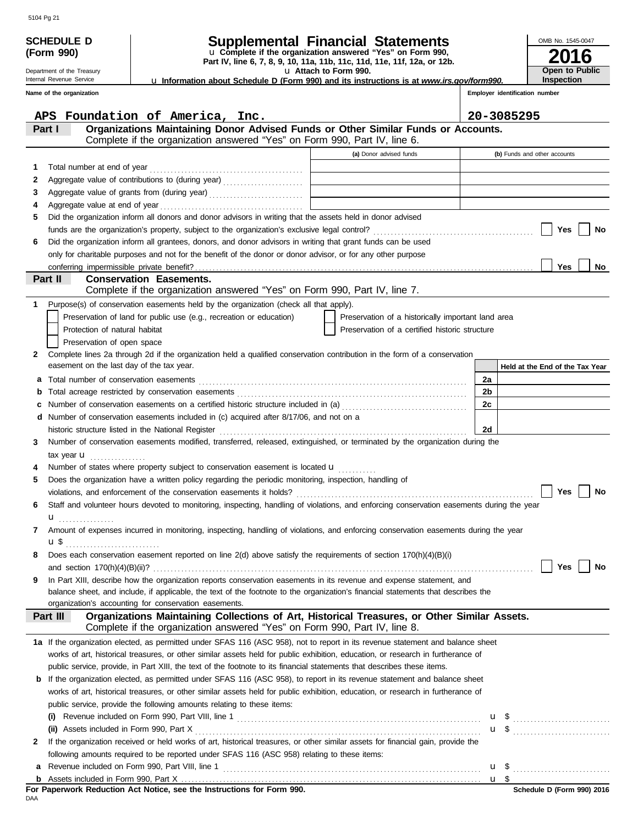|    | <b>Supplemental Financial Statements</b><br>Schedule d<br>u Complete if the organization answered "Yes" on Form 990,<br>(Form 990)<br>Part IV, line 6, 7, 8, 9, 10, 11a, 11b, 11c, 11d, 11e, 11f, 12a, or 12b.<br>u Attach to Form 990.<br>Department of the Treasury |                                                                                                                                                                                                                                |  |                                                    |                |                                | OMB No. 1545-0047<br>16                    |
|----|-----------------------------------------------------------------------------------------------------------------------------------------------------------------------------------------------------------------------------------------------------------------------|--------------------------------------------------------------------------------------------------------------------------------------------------------------------------------------------------------------------------------|--|----------------------------------------------------|----------------|--------------------------------|--------------------------------------------|
|    | Internal Revenue Service                                                                                                                                                                                                                                              | Lu Information about Schedule D (Form 990) and its instructions is at www.irs.gov/form990.                                                                                                                                     |  |                                                    |                |                                | <b>Open to Public</b><br><b>Inspection</b> |
|    | Name of the organization                                                                                                                                                                                                                                              |                                                                                                                                                                                                                                |  |                                                    |                | Employer identification number |                                            |
|    |                                                                                                                                                                                                                                                                       |                                                                                                                                                                                                                                |  |                                                    |                |                                |                                            |
|    |                                                                                                                                                                                                                                                                       | APS Foundation of America, Inc.                                                                                                                                                                                                |  |                                                    |                | 20-3085295                     |                                            |
|    | Part I                                                                                                                                                                                                                                                                | Organizations Maintaining Donor Advised Funds or Other Similar Funds or Accounts.                                                                                                                                              |  |                                                    |                |                                |                                            |
|    |                                                                                                                                                                                                                                                                       | Complete if the organization answered "Yes" on Form 990, Part IV, line 6.                                                                                                                                                      |  |                                                    |                |                                |                                            |
|    |                                                                                                                                                                                                                                                                       |                                                                                                                                                                                                                                |  | (a) Donor advised funds                            |                |                                | (b) Funds and other accounts               |
| 1. | Total number at end of year                                                                                                                                                                                                                                           |                                                                                                                                                                                                                                |  |                                                    |                |                                |                                            |
| 2  |                                                                                                                                                                                                                                                                       | Aggregate value of contributions to (during year)                                                                                                                                                                              |  |                                                    |                |                                |                                            |
| 3  |                                                                                                                                                                                                                                                                       | Aggregate value of grants from (during year) [[11] Aggregate value of grants from (during year) [[11] Aggregate value of grants from (during year) [11] Aggregate value of grants from (during year) [11] Aggregate value of t |  |                                                    |                |                                |                                            |
| 4  |                                                                                                                                                                                                                                                                       |                                                                                                                                                                                                                                |  |                                                    |                |                                |                                            |
| 5  |                                                                                                                                                                                                                                                                       | Did the organization inform all donors and donor advisors in writing that the assets held in donor advised                                                                                                                     |  |                                                    |                |                                |                                            |
|    |                                                                                                                                                                                                                                                                       |                                                                                                                                                                                                                                |  |                                                    |                |                                | Yes<br>No                                  |
| 6  |                                                                                                                                                                                                                                                                       | Did the organization inform all grantees, donors, and donor advisors in writing that grant funds can be used                                                                                                                   |  |                                                    |                |                                |                                            |
|    |                                                                                                                                                                                                                                                                       | only for charitable purposes and not for the benefit of the donor or donor advisor, or for any other purpose                                                                                                                   |  |                                                    |                |                                |                                            |
|    | Part II                                                                                                                                                                                                                                                               | <b>Conservation Easements.</b>                                                                                                                                                                                                 |  |                                                    |                |                                | Yes<br>No                                  |
|    |                                                                                                                                                                                                                                                                       | Complete if the organization answered "Yes" on Form 990, Part IV, line 7.                                                                                                                                                      |  |                                                    |                |                                |                                            |
| 1. |                                                                                                                                                                                                                                                                       | Purpose(s) of conservation easements held by the organization (check all that apply).                                                                                                                                          |  |                                                    |                |                                |                                            |
|    |                                                                                                                                                                                                                                                                       | Preservation of land for public use (e.g., recreation or education)                                                                                                                                                            |  | Preservation of a historically important land area |                |                                |                                            |
|    | Protection of natural habitat                                                                                                                                                                                                                                         |                                                                                                                                                                                                                                |  | Preservation of a certified historic structure     |                |                                |                                            |
|    | Preservation of open space                                                                                                                                                                                                                                            |                                                                                                                                                                                                                                |  |                                                    |                |                                |                                            |
| 2  |                                                                                                                                                                                                                                                                       | Complete lines 2a through 2d if the organization held a qualified conservation contribution in the form of a conservation                                                                                                      |  |                                                    |                |                                |                                            |
|    | easement on the last day of the tax year.                                                                                                                                                                                                                             |                                                                                                                                                                                                                                |  |                                                    |                |                                | Held at the End of the Tax Year            |
| а  |                                                                                                                                                                                                                                                                       |                                                                                                                                                                                                                                |  |                                                    | 2a             |                                |                                            |
| b  |                                                                                                                                                                                                                                                                       |                                                                                                                                                                                                                                |  |                                                    | 2 <sub>b</sub> |                                |                                            |
| с  |                                                                                                                                                                                                                                                                       | Number of conservation easements on a certified historic structure included in (a) [[[[[[ [ $a)$ ]]                                                                                                                            |  |                                                    | 2 <sub>c</sub> |                                |                                            |
| d  |                                                                                                                                                                                                                                                                       | Number of conservation easements included in (c) acquired after 8/17/06, and not on a                                                                                                                                          |  |                                                    |                |                                |                                            |
|    |                                                                                                                                                                                                                                                                       | historic structure listed in the National Register                                                                                                                                                                             |  |                                                    | 2d             |                                |                                            |
| 3  |                                                                                                                                                                                                                                                                       | Number of conservation easements modified, transferred, released, extinguished, or terminated by the organization during the                                                                                                   |  |                                                    |                |                                |                                            |
|    | tax year $\mathbf{u}$ <sub></sub>                                                                                                                                                                                                                                     |                                                                                                                                                                                                                                |  |                                                    |                |                                |                                            |
|    |                                                                                                                                                                                                                                                                       | Number of states where property subject to conservation easement is located <b>u</b>                                                                                                                                           |  |                                                    |                |                                |                                            |
| 5  |                                                                                                                                                                                                                                                                       | Does the organization have a written policy regarding the periodic monitoring, inspection, handling of                                                                                                                         |  |                                                    |                |                                |                                            |
|    |                                                                                                                                                                                                                                                                       | violations, and enforcement of the conservation easements it holds?                                                                                                                                                            |  |                                                    |                |                                | <b>Yes</b><br>No                           |
| 6  |                                                                                                                                                                                                                                                                       | Staff and volunteer hours devoted to monitoring, inspecting, handling of violations, and enforcing conservation easements during the year                                                                                      |  |                                                    |                |                                |                                            |
|    | u<br>.                                                                                                                                                                                                                                                                |                                                                                                                                                                                                                                |  |                                                    |                |                                |                                            |
| 7  |                                                                                                                                                                                                                                                                       | Amount of expenses incurred in monitoring, inspecting, handling of violations, and enforcing conservation easements during the year                                                                                            |  |                                                    |                |                                |                                            |
|    | u \$                                                                                                                                                                                                                                                                  |                                                                                                                                                                                                                                |  |                                                    |                |                                |                                            |
| 8  |                                                                                                                                                                                                                                                                       | Does each conservation easement reported on line $2(d)$ above satisfy the requirements of section $170(h)(4)(B)(i)$                                                                                                            |  |                                                    |                |                                |                                            |
|    |                                                                                                                                                                                                                                                                       |                                                                                                                                                                                                                                |  |                                                    |                |                                | Yes<br>No                                  |
| 9  |                                                                                                                                                                                                                                                                       | In Part XIII, describe how the organization reports conservation easements in its revenue and expense statement, and                                                                                                           |  |                                                    |                |                                |                                            |
|    |                                                                                                                                                                                                                                                                       | balance sheet, and include, if applicable, the text of the footnote to the organization's financial statements that describes the                                                                                              |  |                                                    |                |                                |                                            |
|    |                                                                                                                                                                                                                                                                       | organization's accounting for conservation easements.                                                                                                                                                                          |  |                                                    |                |                                |                                            |
|    | Part III                                                                                                                                                                                                                                                              | Organizations Maintaining Collections of Art, Historical Treasures, or Other Similar Assets.<br>Complete if the organization answered "Yes" on Form 990, Part IV, line 8.                                                      |  |                                                    |                |                                |                                            |
|    |                                                                                                                                                                                                                                                                       | 1a If the organization elected, as permitted under SFAS 116 (ASC 958), not to report in its revenue statement and balance sheet                                                                                                |  |                                                    |                |                                |                                            |
|    |                                                                                                                                                                                                                                                                       | works of art, historical treasures, or other similar assets held for public exhibition, education, or research in furtherance of                                                                                               |  |                                                    |                |                                |                                            |
|    | public service, provide, in Part XIII, the text of the footnote to its financial statements that describes these items.                                                                                                                                               |                                                                                                                                                                                                                                |  |                                                    |                |                                |                                            |
|    |                                                                                                                                                                                                                                                                       | <b>b</b> If the organization elected, as permitted under SFAS 116 (ASC 958), to report in its revenue statement and balance sheet                                                                                              |  |                                                    |                |                                |                                            |
|    |                                                                                                                                                                                                                                                                       | works of art, historical treasures, or other similar assets held for public exhibition, education, or research in furtherance of                                                                                               |  |                                                    |                |                                |                                            |
|    | public service, provide the following amounts relating to these items:                                                                                                                                                                                                |                                                                                                                                                                                                                                |  |                                                    |                |                                |                                            |
|    |                                                                                                                                                                                                                                                                       |                                                                                                                                                                                                                                |  |                                                    |                |                                |                                            |
|    |                                                                                                                                                                                                                                                                       |                                                                                                                                                                                                                                |  |                                                    |                |                                |                                            |
| 2  |                                                                                                                                                                                                                                                                       | If the organization received or held works of art, historical treasures, or other similar assets for financial gain, provide the                                                                                               |  |                                                    |                |                                |                                            |
|    |                                                                                                                                                                                                                                                                       | following amounts required to be reported under SFAS 116 (ASC 958) relating to these items:                                                                                                                                    |  |                                                    |                |                                |                                            |
| a  |                                                                                                                                                                                                                                                                       |                                                                                                                                                                                                                                |  |                                                    |                |                                |                                            |
|    |                                                                                                                                                                                                                                                                       |                                                                                                                                                                                                                                |  |                                                    |                |                                |                                            |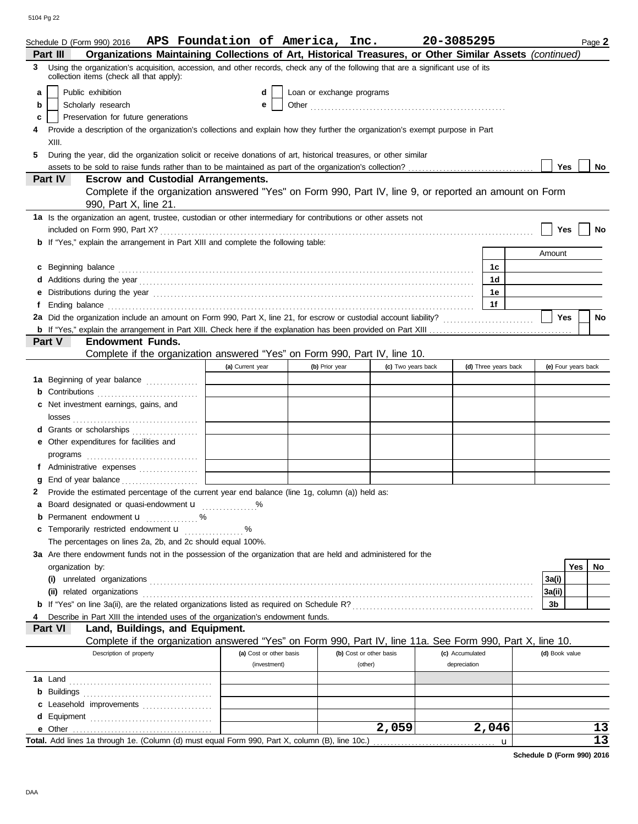|                                          | Schedule D (Form 990) 2016                                                                                                                                                   | APS Foundation of America, Inc. |                           |                         | 20-3085295      |                      |                     |     | Page 2          |
|------------------------------------------|------------------------------------------------------------------------------------------------------------------------------------------------------------------------------|---------------------------------|---------------------------|-------------------------|-----------------|----------------------|---------------------|-----|-----------------|
|                                          | Organizations Maintaining Collections of Art, Historical Treasures, or Other Similar Assets (continued)<br>Part III                                                          |                                 |                           |                         |                 |                      |                     |     |                 |
| 3                                        | Using the organization's acquisition, accession, and other records, check any of the following that are a significant use of its<br>collection items (check all that apply): |                                 |                           |                         |                 |                      |                     |     |                 |
| a                                        | Public exhibition                                                                                                                                                            | d                               | Loan or exchange programs |                         |                 |                      |                     |     |                 |
| b                                        | Scholarly research                                                                                                                                                           | е                               |                           |                         |                 |                      |                     |     |                 |
| Preservation for future generations<br>c |                                                                                                                                                                              |                                 |                           |                         |                 |                      |                     |     |                 |
|                                          | Provide a description of the organization's collections and explain how they further the organization's exempt purpose in Part                                               |                                 |                           |                         |                 |                      |                     |     |                 |
|                                          | XIII.                                                                                                                                                                        |                                 |                           |                         |                 |                      |                     |     |                 |
| 5                                        | During the year, did the organization solicit or receive donations of art, historical treasures, or other similar                                                            |                                 |                           |                         |                 |                      |                     |     |                 |
|                                          |                                                                                                                                                                              |                                 |                           |                         |                 |                      |                     |     | No              |
|                                          | Part IV<br><b>Escrow and Custodial Arrangements.</b>                                                                                                                         |                                 |                           |                         |                 |                      |                     |     |                 |
|                                          | Complete if the organization answered "Yes" on Form 990, Part IV, line 9, or reported an amount on Form                                                                      |                                 |                           |                         |                 |                      |                     |     |                 |
|                                          | 990, Part X, line 21.                                                                                                                                                        |                                 |                           |                         |                 |                      |                     |     |                 |
|                                          | 1a Is the organization an agent, trustee, custodian or other intermediary for contributions or other assets not                                                              |                                 |                           |                         |                 |                      |                     |     |                 |
|                                          |                                                                                                                                                                              |                                 |                           |                         |                 |                      | Yes                 |     | No              |
|                                          | b If "Yes," explain the arrangement in Part XIII and complete the following table:                                                                                           |                                 |                           |                         |                 |                      |                     |     |                 |
|                                          |                                                                                                                                                                              |                                 |                           |                         |                 |                      | Amount              |     |                 |
| C                                        |                                                                                                                                                                              |                                 |                           |                         |                 | 1c                   |                     |     |                 |
|                                          |                                                                                                                                                                              |                                 |                           |                         |                 | 1 <sub>d</sub>       |                     |     |                 |
|                                          |                                                                                                                                                                              |                                 |                           |                         |                 | 1e                   |                     |     |                 |
|                                          |                                                                                                                                                                              |                                 |                           |                         |                 | 1f                   |                     |     |                 |
|                                          | 2a Did the organization include an amount on Form 990, Part X, line 21, for escrow or custodial account liability?<br>2011                                                   |                                 |                           |                         |                 |                      | Yes                 |     | <b>No</b>       |
|                                          |                                                                                                                                                                              |                                 |                           |                         |                 |                      |                     |     |                 |
|                                          | <b>Endowment Funds.</b><br><b>Part V</b>                                                                                                                                     |                                 |                           |                         |                 |                      |                     |     |                 |
|                                          | Complete if the organization answered "Yes" on Form 990, Part IV, line 10.                                                                                                   |                                 |                           |                         |                 |                      |                     |     |                 |
|                                          |                                                                                                                                                                              | (a) Current year                | (b) Prior year            | (c) Two years back      |                 | (d) Three years back | (e) Four years back |     |                 |
|                                          | 1a Beginning of year balance                                                                                                                                                 |                                 |                           |                         |                 |                      |                     |     |                 |
|                                          |                                                                                                                                                                              |                                 |                           |                         |                 |                      |                     |     |                 |
|                                          | c Net investment earnings, gains, and                                                                                                                                        |                                 |                           |                         |                 |                      |                     |     |                 |
|                                          |                                                                                                                                                                              |                                 |                           |                         |                 |                      |                     |     |                 |
|                                          | d Grants or scholarships<br>e Other expenditures for facilities and                                                                                                          |                                 |                           |                         |                 |                      |                     |     |                 |
|                                          |                                                                                                                                                                              |                                 |                           |                         |                 |                      |                     |     |                 |
|                                          | f Administrative expenses                                                                                                                                                    |                                 |                           |                         |                 |                      |                     |     |                 |
|                                          | End of year balance                                                                                                                                                          |                                 |                           |                         |                 |                      |                     |     |                 |
|                                          | Provide the estimated percentage of the current year end balance (line 1g, column (a)) held as:                                                                              |                                 |                           |                         |                 |                      |                     |     |                 |
|                                          | a Board designated or quasi-endowment <b>u</b>                                                                                                                               |                                 |                           |                         |                 |                      |                     |     |                 |
|                                          | <b>b</b> Permanent endowment $\mathbf{u}$ %                                                                                                                                  |                                 |                           |                         |                 |                      |                     |     |                 |
| c                                        | Temporarily restricted endowment <b>u</b>                                                                                                                                    | %                               |                           |                         |                 |                      |                     |     |                 |
|                                          | The percentages on lines 2a, 2b, and 2c should equal 100%.                                                                                                                   |                                 |                           |                         |                 |                      |                     |     |                 |
|                                          | 3a Are there endowment funds not in the possession of the organization that are held and administered for the                                                                |                                 |                           |                         |                 |                      |                     |     |                 |
|                                          | organization by:                                                                                                                                                             |                                 |                           |                         |                 |                      |                     | Yes | No              |
|                                          |                                                                                                                                                                              |                                 |                           |                         |                 |                      | 3a(i)               |     |                 |
|                                          |                                                                                                                                                                              |                                 |                           |                         |                 |                      | 3a(ii)              |     |                 |
|                                          |                                                                                                                                                                              |                                 |                           |                         |                 |                      | 3b                  |     |                 |
|                                          | Describe in Part XIII the intended uses of the organization's endowment funds.                                                                                               |                                 |                           |                         |                 |                      |                     |     |                 |
|                                          | Land, Buildings, and Equipment.<br>Part VI                                                                                                                                   |                                 |                           |                         |                 |                      |                     |     |                 |
|                                          | Complete if the organization answered "Yes" on Form 990, Part IV, line 11a. See Form 990, Part X, line 10.                                                                   |                                 |                           |                         |                 |                      |                     |     |                 |
|                                          | Description of property                                                                                                                                                      | (a) Cost or other basis         |                           | (b) Cost or other basis | (c) Accumulated |                      | (d) Book value      |     |                 |
|                                          |                                                                                                                                                                              | (investment)                    |                           | (other)                 | depreciation    |                      |                     |     |                 |
|                                          |                                                                                                                                                                              |                                 |                           |                         |                 |                      |                     |     |                 |
| b                                        |                                                                                                                                                                              |                                 |                           |                         |                 |                      |                     |     |                 |
|                                          | c Leasehold improvements                                                                                                                                                     |                                 |                           |                         |                 |                      |                     |     |                 |
| d                                        |                                                                                                                                                                              |                                 |                           |                         |                 |                      |                     |     |                 |
|                                          | e Other                                                                                                                                                                      |                                 |                           | 2,059                   |                 | 2,046                |                     |     | 13              |
|                                          | Total. Add lines 1a through 1e. (Column (d) must equal Form 990, Part X, column (B), line 10c.)                                                                              |                                 |                           |                         |                 | u                    |                     |     | $\overline{13}$ |

**Schedule D (Form 990) 2016**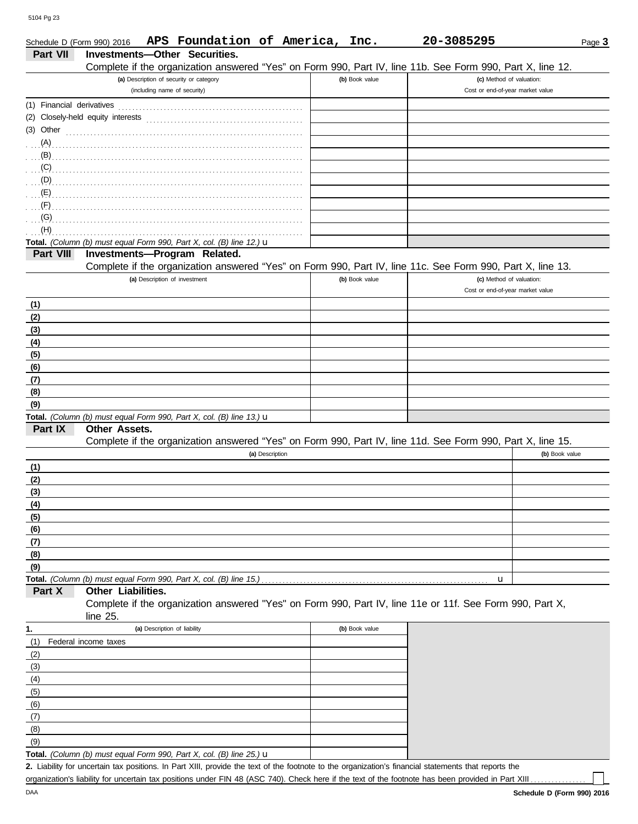DAA

 $(9)$ 

|                           | APS Foundation of America, Inc.<br>Schedule D (Form 990) 2016                                                        |                | 20-3085295                                                   | Page 3         |
|---------------------------|----------------------------------------------------------------------------------------------------------------------|----------------|--------------------------------------------------------------|----------------|
| Part VII                  | Investments-Other Securities.                                                                                        |                |                                                              |                |
|                           | Complete if the organization answered "Yes" on Form 990, Part IV, line 11b. See Form 990, Part X, line 12.           |                |                                                              |                |
|                           | (a) Description of security or category<br>(including name of security)                                              | (b) Book value | (c) Method of valuation:<br>Cost or end-of-year market value |                |
|                           |                                                                                                                      |                |                                                              |                |
| (1) Financial derivatives |                                                                                                                      |                |                                                              |                |
|                           | (2) Closely-held equity interests                                                                                    |                |                                                              |                |
| (3) Other                 |                                                                                                                      |                |                                                              |                |
| (A)                       |                                                                                                                      |                |                                                              |                |
| (B)                       |                                                                                                                      |                |                                                              |                |
| (C)                       |                                                                                                                      |                |                                                              |                |
| (D)<br>(E)                |                                                                                                                      |                |                                                              |                |
| (F)                       |                                                                                                                      |                |                                                              |                |
| (G)                       |                                                                                                                      |                |                                                              |                |
| (H)                       |                                                                                                                      |                |                                                              |                |
|                           | Total. (Column (b) must equal Form 990, Part X, col. (B) line 12.) u                                                 |                |                                                              |                |
| Part VIII                 | Investments-Program Related.                                                                                         |                |                                                              |                |
|                           | Complete if the organization answered "Yes" on Form 990, Part IV, line 11c. See Form 990, Part X, line 13.           |                |                                                              |                |
|                           | (a) Description of investment                                                                                        | (b) Book value | (c) Method of valuation:                                     |                |
|                           |                                                                                                                      |                | Cost or end-of-year market value                             |                |
| (1)                       |                                                                                                                      |                |                                                              |                |
| (2)                       |                                                                                                                      |                |                                                              |                |
| (3)                       |                                                                                                                      |                |                                                              |                |
| (4)                       |                                                                                                                      |                |                                                              |                |
| (5)                       |                                                                                                                      |                |                                                              |                |
| (6)                       |                                                                                                                      |                |                                                              |                |
| (7)                       |                                                                                                                      |                |                                                              |                |
| (8)                       |                                                                                                                      |                |                                                              |                |
| (9)                       |                                                                                                                      |                |                                                              |                |
|                           | Total. (Column (b) must equal Form 990, Part X, col. (B) line 13.) u                                                 |                |                                                              |                |
| Part IX                   | Other Assets.                                                                                                        |                |                                                              |                |
|                           | Complete if the organization answered "Yes" on Form 990, Part IV, line 11d. See Form 990, Part X, line 15.           |                |                                                              |                |
|                           | (a) Description                                                                                                      |                |                                                              | (b) Book value |
| (1)                       |                                                                                                                      |                |                                                              |                |
| (2)                       |                                                                                                                      |                |                                                              |                |
| (3)                       |                                                                                                                      |                |                                                              |                |
| (4)                       |                                                                                                                      |                |                                                              |                |
| (5)                       |                                                                                                                      |                |                                                              |                |
| (6)                       |                                                                                                                      |                |                                                              |                |
| (7)                       |                                                                                                                      |                |                                                              |                |
| (8)                       |                                                                                                                      |                |                                                              |                |
| (9)                       |                                                                                                                      |                |                                                              |                |
|                           | Total. (Column (b) must equal Form 990, Part X, col. (B) line 15.)                                                   |                | u                                                            |                |
| Part X                    | Other Liabilities.                                                                                                   |                |                                                              |                |
|                           | Complete if the organization answered "Yes" on Form 990, Part IV, line 11e or 11f. See Form 990, Part X,<br>line 25. |                |                                                              |                |
| 1.                        | (a) Description of liability                                                                                         | (b) Book value |                                                              |                |
| (1)                       | Federal income taxes                                                                                                 |                |                                                              |                |
| (2)                       |                                                                                                                      |                |                                                              |                |
| (3)                       |                                                                                                                      |                |                                                              |                |
| (4)                       |                                                                                                                      |                |                                                              |                |
| (5)                       |                                                                                                                      |                |                                                              |                |
| (6)                       |                                                                                                                      |                |                                                              |                |
| (7)                       |                                                                                                                      |                |                                                              |                |
| (8)                       |                                                                                                                      |                |                                                              |                |

Liability for uncertain tax positions. In Part XIII, provide the text of the footnote to the organization's financial statements that reports the **2. Total.** *(Column (b) must equal Form 990, Part X, col. (B) line 25.)* u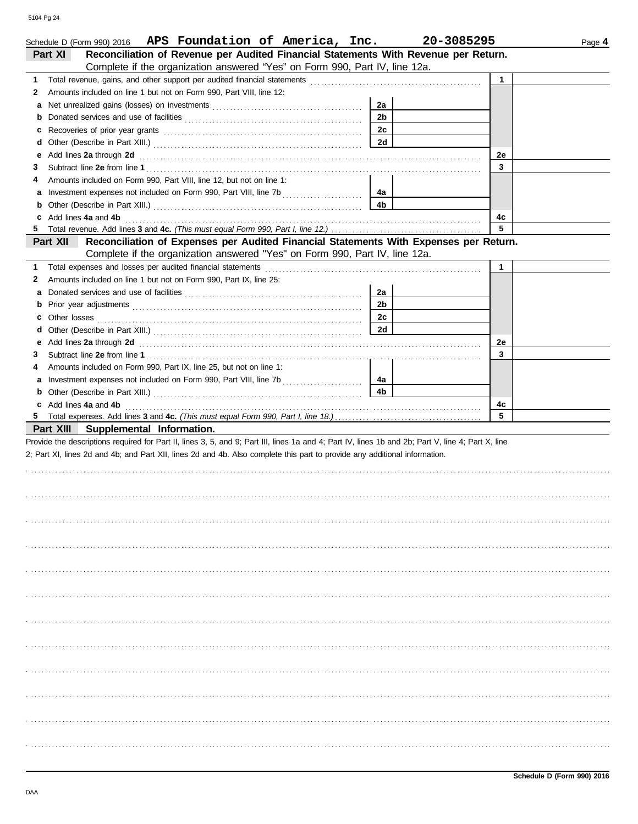|    | Schedule D (Form 990) 2016 APS Foundation of America, Inc.                                                                                                                                                                           |                | 20-3085295 | Page 4 |
|----|--------------------------------------------------------------------------------------------------------------------------------------------------------------------------------------------------------------------------------------|----------------|------------|--------|
|    | Reconciliation of Revenue per Audited Financial Statements With Revenue per Return.<br>Part XI                                                                                                                                       |                |            |        |
|    | Complete if the organization answered "Yes" on Form 990, Part IV, line 12a.                                                                                                                                                          |                |            |        |
| 1. |                                                                                                                                                                                                                                      |                | 1          |        |
| 2  | Amounts included on line 1 but not on Form 990, Part VIII, line 12:                                                                                                                                                                  |                |            |        |
| а  |                                                                                                                                                                                                                                      | 2a             |            |        |
| b  |                                                                                                                                                                                                                                      | 2 <sub>b</sub> |            |        |
| c  |                                                                                                                                                                                                                                      | 2c             |            |        |
| d  |                                                                                                                                                                                                                                      | 2d             |            |        |
| е  | Add lines 2a through 2d                                                                                                                                                                                                              |                | 2e         |        |
| З  |                                                                                                                                                                                                                                      |                | 3          |        |
| 4  | Amounts included on Form 990, Part VIII, line 12, but not on line 1:                                                                                                                                                                 |                |            |        |
| а  |                                                                                                                                                                                                                                      | 4a             |            |        |
| b  |                                                                                                                                                                                                                                      | 4b             |            |        |
| c  | Add lines 4a and 4b                                                                                                                                                                                                                  |                | 4c         |        |
| 5  |                                                                                                                                                                                                                                      |                | 5          |        |
|    | Reconciliation of Expenses per Audited Financial Statements With Expenses per Return.<br>Part XII                                                                                                                                    |                |            |        |
|    | Complete if the organization answered "Yes" on Form 990, Part IV, line 12a.                                                                                                                                                          |                |            |        |
| 1. | Total expenses and losses per audited financial statements                                                                                                                                                                           |                | 1          |        |
| 2  | Amounts included on line 1 but not on Form 990, Part IX, line 25:                                                                                                                                                                    |                |            |        |
| а  |                                                                                                                                                                                                                                      | 2a             |            |        |
| b  |                                                                                                                                                                                                                                      | 2 <sub>b</sub> |            |        |
| c  | Other losses                                                                                                                                                                                                                         | 2c             |            |        |
| d  |                                                                                                                                                                                                                                      | 2d             |            |        |
| е  | Add lines 2a through 2d <b>contained a contained a contained a contained a contained a contained a contained a contained a contained a contained a contained a contained a contained a contained a contained a contained a conta</b> |                | 2e         |        |
| З  |                                                                                                                                                                                                                                      |                | 3          |        |
| 4  | Amounts included on Form 990, Part IX, line 25, but not on line 1:                                                                                                                                                                   |                |            |        |
| а  |                                                                                                                                                                                                                                      | 4a             |            |        |
| b  |                                                                                                                                                                                                                                      | 4b             |            |        |
| c  | Add lines 4a and 4b                                                                                                                                                                                                                  |                | 4c         |        |
| 5  |                                                                                                                                                                                                                                      |                | 5          |        |
|    | Part XIII<br>Supplemental Information.                                                                                                                                                                                               |                |            |        |
|    | Provide the descriptions required for Part II, lines 3, 5, and 9; Part III, lines 1a and 4; Part IV, lines 1b and 2b; Part V, line 4; Part X, line                                                                                   |                |            |        |
|    | 2; Part XI, lines 2d and 4b; and Part XII, lines 2d and 4b. Also complete this part to provide any additional information.                                                                                                           |                |            |        |
|    |                                                                                                                                                                                                                                      |                |            |        |
|    |                                                                                                                                                                                                                                      |                |            |        |
|    |                                                                                                                                                                                                                                      |                |            |        |
|    |                                                                                                                                                                                                                                      |                |            |        |
|    |                                                                                                                                                                                                                                      |                |            |        |
|    |                                                                                                                                                                                                                                      |                |            |        |
|    |                                                                                                                                                                                                                                      |                |            |        |
|    |                                                                                                                                                                                                                                      |                |            |        |
|    |                                                                                                                                                                                                                                      |                |            |        |
|    |                                                                                                                                                                                                                                      |                |            |        |
|    |                                                                                                                                                                                                                                      |                |            |        |
|    |                                                                                                                                                                                                                                      |                |            |        |
|    |                                                                                                                                                                                                                                      |                |            |        |
|    |                                                                                                                                                                                                                                      |                |            |        |
|    |                                                                                                                                                                                                                                      |                |            |        |
|    |                                                                                                                                                                                                                                      |                |            |        |
|    |                                                                                                                                                                                                                                      |                |            |        |
|    |                                                                                                                                                                                                                                      |                |            |        |
|    |                                                                                                                                                                                                                                      |                |            |        |
|    |                                                                                                                                                                                                                                      |                |            |        |
|    |                                                                                                                                                                                                                                      |                |            |        |
|    |                                                                                                                                                                                                                                      |                |            |        |
|    |                                                                                                                                                                                                                                      |                |            |        |
|    |                                                                                                                                                                                                                                      |                |            |        |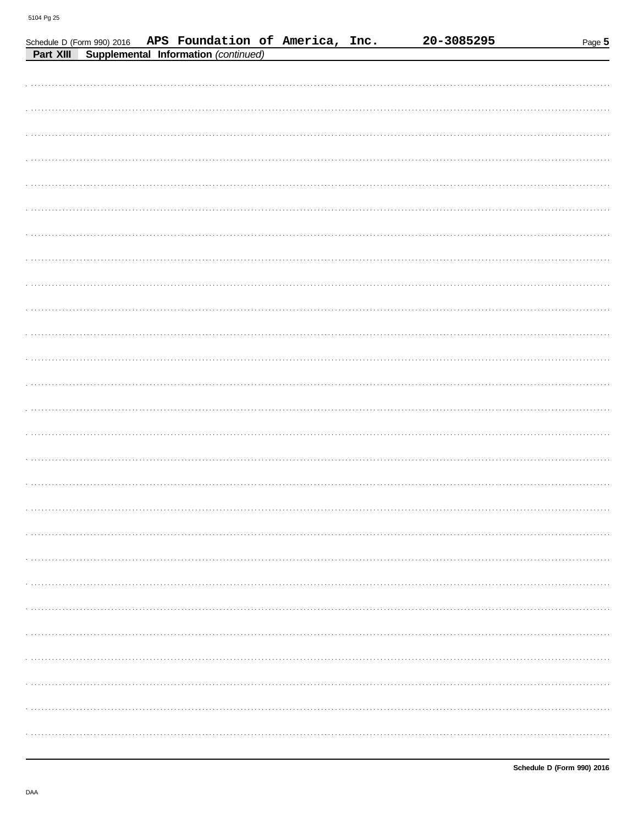|           | Schedule D (Form 990) 2016 | APS Foundation of America, Inc.      |  | 20-3085295 | Page 5 |
|-----------|----------------------------|--------------------------------------|--|------------|--------|
| Part XIII |                            | Supplemental Information (continued) |  |            |        |
|           |                            |                                      |  |            |        |
|           |                            |                                      |  |            |        |
|           |                            |                                      |  |            |        |
|           |                            |                                      |  |            |        |
|           |                            |                                      |  |            |        |
|           |                            |                                      |  |            |        |
|           |                            |                                      |  |            |        |
|           |                            |                                      |  |            |        |
|           |                            |                                      |  |            |        |
|           |                            |                                      |  |            |        |
|           |                            |                                      |  |            |        |
|           |                            |                                      |  |            |        |
|           |                            |                                      |  |            |        |
|           |                            |                                      |  |            |        |
|           |                            |                                      |  |            |        |
|           |                            |                                      |  |            |        |
|           |                            |                                      |  |            |        |
|           |                            |                                      |  |            |        |
|           |                            |                                      |  |            |        |
|           |                            |                                      |  |            |        |
|           |                            |                                      |  |            |        |
|           |                            |                                      |  |            |        |
|           |                            |                                      |  |            |        |
|           |                            |                                      |  |            |        |
|           |                            |                                      |  |            |        |
|           |                            |                                      |  |            |        |
|           |                            |                                      |  |            |        |
|           |                            |                                      |  |            |        |
|           |                            |                                      |  |            |        |
|           |                            |                                      |  |            |        |
|           |                            |                                      |  |            |        |
|           |                            |                                      |  |            |        |
|           |                            |                                      |  |            |        |
|           |                            |                                      |  |            |        |
|           |                            |                                      |  |            |        |
|           |                            |                                      |  |            |        |
|           |                            |                                      |  |            |        |